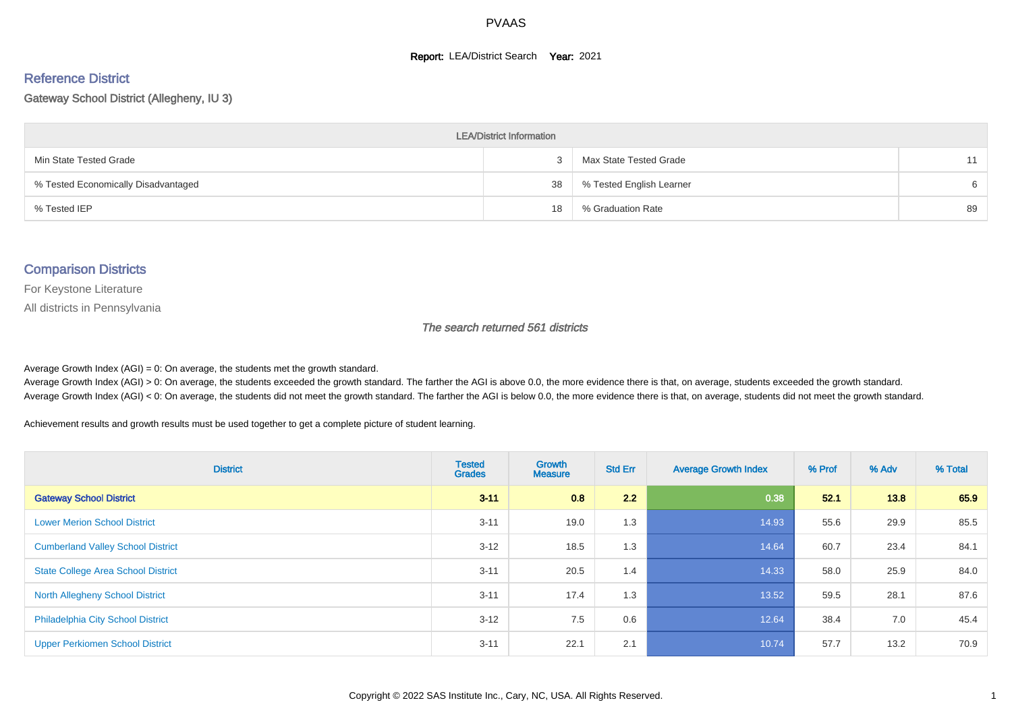#### **Report: LEA/District Search Year: 2021**

#### Reference District

#### Gateway School District (Allegheny, IU 3)

| <b>LEA/District Information</b>     |    |                          |    |  |  |  |  |  |  |  |
|-------------------------------------|----|--------------------------|----|--|--|--|--|--|--|--|
| Min State Tested Grade              |    | Max State Tested Grade   | 11 |  |  |  |  |  |  |  |
| % Tested Economically Disadvantaged | 38 | % Tested English Learner | 6  |  |  |  |  |  |  |  |
| % Tested IEP                        | 18 | % Graduation Rate        | 89 |  |  |  |  |  |  |  |

#### Comparison Districts

For Keystone Literature

All districts in Pennsylvania

The search returned 561 districts

Average Growth Index  $(AGI) = 0$ : On average, the students met the growth standard.

Average Growth Index (AGI) > 0: On average, the students exceeded the growth standard. The farther the AGI is above 0.0, the more evidence there is that, on average, students exceeded the growth standard. Average Growth Index (AGI) < 0: On average, the students did not meet the growth standard. The farther the AGI is below 0.0, the more evidence there is that, on average, students did not meet the growth standard.

Achievement results and growth results must be used together to get a complete picture of student learning.

| <b>District</b>                           | <b>Tested</b><br><b>Grades</b> | Growth<br><b>Measure</b> | <b>Std Err</b> | <b>Average Growth Index</b> | % Prof | % Adv | % Total |
|-------------------------------------------|--------------------------------|--------------------------|----------------|-----------------------------|--------|-------|---------|
| <b>Gateway School District</b>            | $3 - 11$                       | 0.8                      | 2.2            | 0.38                        | 52.1   | 13.8  | 65.9    |
| <b>Lower Merion School District</b>       | $3 - 11$                       | 19.0                     | 1.3            | 14.93                       | 55.6   | 29.9  | 85.5    |
| <b>Cumberland Valley School District</b>  | $3 - 12$                       | 18.5                     | 1.3            | 14.64                       | 60.7   | 23.4  | 84.1    |
| <b>State College Area School District</b> | $3 - 11$                       | 20.5                     | 1.4            | 14.33                       | 58.0   | 25.9  | 84.0    |
| <b>North Allegheny School District</b>    | $3 - 11$                       | 17.4                     | 1.3            | 13.52                       | 59.5   | 28.1  | 87.6    |
| <b>Philadelphia City School District</b>  | $3 - 12$                       | 7.5                      | 0.6            | 12.64                       | 38.4   | 7.0   | 45.4    |
| <b>Upper Perkiomen School District</b>    | $3 - 11$                       | 22.1                     | 2.1            | 10.74                       | 57.7   | 13.2  | 70.9    |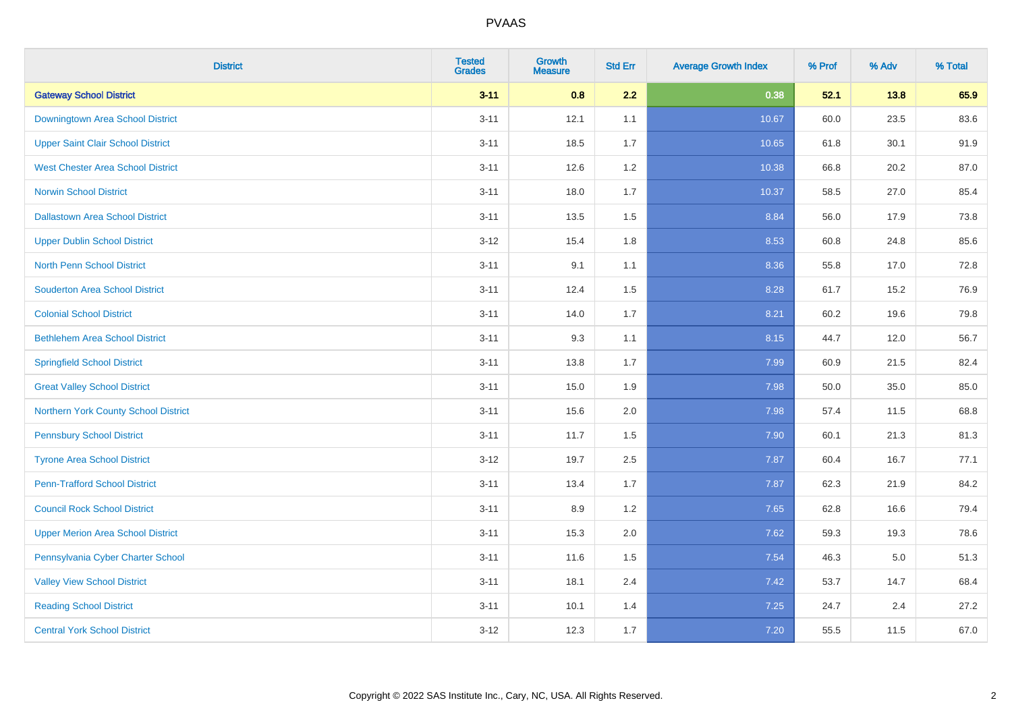| <b>District</b>                          | <b>Tested</b><br><b>Grades</b> | <b>Growth</b><br><b>Measure</b> | <b>Std Err</b> | <b>Average Growth Index</b> | % Prof | % Adv | % Total |
|------------------------------------------|--------------------------------|---------------------------------|----------------|-----------------------------|--------|-------|---------|
| <b>Gateway School District</b>           | $3 - 11$                       | 0.8                             | 2.2            | 0.38                        | 52.1   | 13.8  | 65.9    |
| <b>Downingtown Area School District</b>  | $3 - 11$                       | 12.1                            | 1.1            | 10.67                       | 60.0   | 23.5  | 83.6    |
| <b>Upper Saint Clair School District</b> | $3 - 11$                       | 18.5                            | 1.7            | 10.65                       | 61.8   | 30.1  | 91.9    |
| <b>West Chester Area School District</b> | $3 - 11$                       | 12.6                            | 1.2            | 10.38                       | 66.8   | 20.2  | 87.0    |
| <b>Norwin School District</b>            | $3 - 11$                       | 18.0                            | 1.7            | 10.37                       | 58.5   | 27.0  | 85.4    |
| <b>Dallastown Area School District</b>   | $3 - 11$                       | 13.5                            | 1.5            | 8.84                        | 56.0   | 17.9  | 73.8    |
| <b>Upper Dublin School District</b>      | $3 - 12$                       | 15.4                            | 1.8            | 8.53                        | 60.8   | 24.8  | 85.6    |
| <b>North Penn School District</b>        | $3 - 11$                       | 9.1                             | 1.1            | 8.36                        | 55.8   | 17.0  | 72.8    |
| <b>Souderton Area School District</b>    | $3 - 11$                       | 12.4                            | 1.5            | 8.28                        | 61.7   | 15.2  | 76.9    |
| <b>Colonial School District</b>          | $3 - 11$                       | 14.0                            | 1.7            | 8.21                        | 60.2   | 19.6  | 79.8    |
| <b>Bethlehem Area School District</b>    | $3 - 11$                       | 9.3                             | 1.1            | 8.15                        | 44.7   | 12.0  | 56.7    |
| <b>Springfield School District</b>       | $3 - 11$                       | 13.8                            | 1.7            | 7.99                        | 60.9   | 21.5  | 82.4    |
| <b>Great Valley School District</b>      | $3 - 11$                       | 15.0                            | 1.9            | 7.98                        | 50.0   | 35.0  | 85.0    |
| Northern York County School District     | $3 - 11$                       | 15.6                            | 2.0            | 7.98                        | 57.4   | 11.5  | 68.8    |
| <b>Pennsbury School District</b>         | $3 - 11$                       | 11.7                            | 1.5            | 7.90                        | 60.1   | 21.3  | 81.3    |
| <b>Tyrone Area School District</b>       | $3 - 12$                       | 19.7                            | 2.5            | 7.87                        | 60.4   | 16.7  | 77.1    |
| <b>Penn-Trafford School District</b>     | $3 - 11$                       | 13.4                            | 1.7            | 7.87                        | 62.3   | 21.9  | 84.2    |
| <b>Council Rock School District</b>      | $3 - 11$                       | 8.9                             | 1.2            | 7.65                        | 62.8   | 16.6  | 79.4    |
| <b>Upper Merion Area School District</b> | $3 - 11$                       | 15.3                            | 2.0            | 7.62                        | 59.3   | 19.3  | 78.6    |
| Pennsylvania Cyber Charter School        | $3 - 11$                       | 11.6                            | 1.5            | 7.54                        | 46.3   | 5.0   | 51.3    |
| <b>Valley View School District</b>       | $3 - 11$                       | 18.1                            | 2.4            | 7.42                        | 53.7   | 14.7  | 68.4    |
| <b>Reading School District</b>           | $3 - 11$                       | 10.1                            | 1.4            | 7.25                        | 24.7   | 2.4   | 27.2    |
| <b>Central York School District</b>      | $3 - 12$                       | 12.3                            | 1.7            | 7.20                        | 55.5   | 11.5  | 67.0    |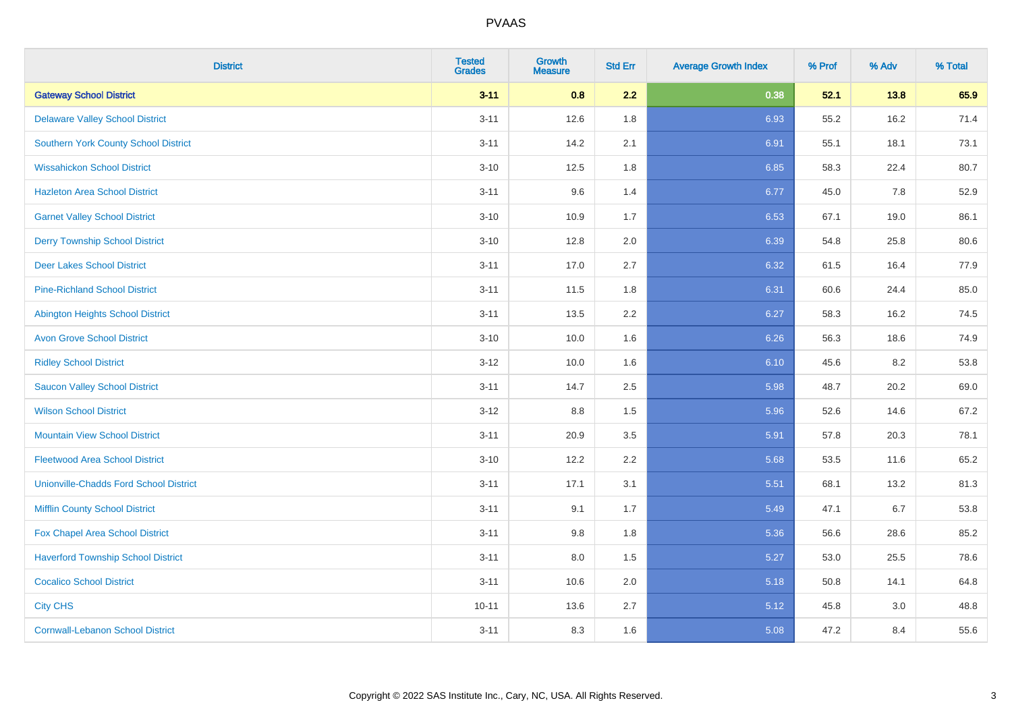| <b>District</b>                               | <b>Tested</b><br><b>Grades</b> | Growth<br><b>Measure</b> | <b>Std Err</b> | <b>Average Growth Index</b> | % Prof | % Adv | % Total |
|-----------------------------------------------|--------------------------------|--------------------------|----------------|-----------------------------|--------|-------|---------|
| <b>Gateway School District</b>                | $3 - 11$                       | 0.8                      | 2.2            | 0.38                        | 52.1   | 13.8  | 65.9    |
| <b>Delaware Valley School District</b>        | $3 - 11$                       | 12.6                     | 1.8            | 6.93                        | 55.2   | 16.2  | 71.4    |
| <b>Southern York County School District</b>   | $3 - 11$                       | 14.2                     | 2.1            | 6.91                        | 55.1   | 18.1  | 73.1    |
| <b>Wissahickon School District</b>            | $3 - 10$                       | 12.5                     | 1.8            | 6.85                        | 58.3   | 22.4  | 80.7    |
| <b>Hazleton Area School District</b>          | $3 - 11$                       | 9.6                      | 1.4            | 6.77                        | 45.0   | 7.8   | 52.9    |
| <b>Garnet Valley School District</b>          | $3 - 10$                       | 10.9                     | 1.7            | 6.53                        | 67.1   | 19.0  | 86.1    |
| <b>Derry Township School District</b>         | $3 - 10$                       | 12.8                     | 2.0            | 6.39                        | 54.8   | 25.8  | 80.6    |
| <b>Deer Lakes School District</b>             | $3 - 11$                       | 17.0                     | 2.7            | 6.32                        | 61.5   | 16.4  | 77.9    |
| <b>Pine-Richland School District</b>          | $3 - 11$                       | 11.5                     | 1.8            | 6.31                        | 60.6   | 24.4  | 85.0    |
| <b>Abington Heights School District</b>       | $3 - 11$                       | 13.5                     | 2.2            | 6.27                        | 58.3   | 16.2  | 74.5    |
| <b>Avon Grove School District</b>             | $3 - 10$                       | 10.0                     | 1.6            | 6.26                        | 56.3   | 18.6  | 74.9    |
| <b>Ridley School District</b>                 | $3 - 12$                       | 10.0                     | 1.6            | 6.10                        | 45.6   | 8.2   | 53.8    |
| <b>Saucon Valley School District</b>          | $3 - 11$                       | 14.7                     | 2.5            | 5.98                        | 48.7   | 20.2  | 69.0    |
| <b>Wilson School District</b>                 | $3 - 12$                       | 8.8                      | 1.5            | 5.96                        | 52.6   | 14.6  | 67.2    |
| <b>Mountain View School District</b>          | $3 - 11$                       | 20.9                     | 3.5            | 5.91                        | 57.8   | 20.3  | 78.1    |
| <b>Fleetwood Area School District</b>         | $3 - 10$                       | 12.2                     | 2.2            | 5.68                        | 53.5   | 11.6  | 65.2    |
| <b>Unionville-Chadds Ford School District</b> | $3 - 11$                       | 17.1                     | 3.1            | 5.51                        | 68.1   | 13.2  | 81.3    |
| <b>Mifflin County School District</b>         | $3 - 11$                       | 9.1                      | 1.7            | 5.49                        | 47.1   | 6.7   | 53.8    |
| Fox Chapel Area School District               | $3 - 11$                       | 9.8                      | 1.8            | 5.36                        | 56.6   | 28.6  | 85.2    |
| <b>Haverford Township School District</b>     | $3 - 11$                       | 8.0                      | 1.5            | 5.27                        | 53.0   | 25.5  | 78.6    |
| <b>Cocalico School District</b>               | $3 - 11$                       | 10.6                     | 2.0            | 5.18                        | 50.8   | 14.1  | 64.8    |
| <b>City CHS</b>                               | $10 - 11$                      | 13.6                     | 2.7            | 5.12                        | 45.8   | 3.0   | 48.8    |
| <b>Cornwall-Lebanon School District</b>       | $3 - 11$                       | 8.3                      | 1.6            | 5.08                        | 47.2   | 8.4   | 55.6    |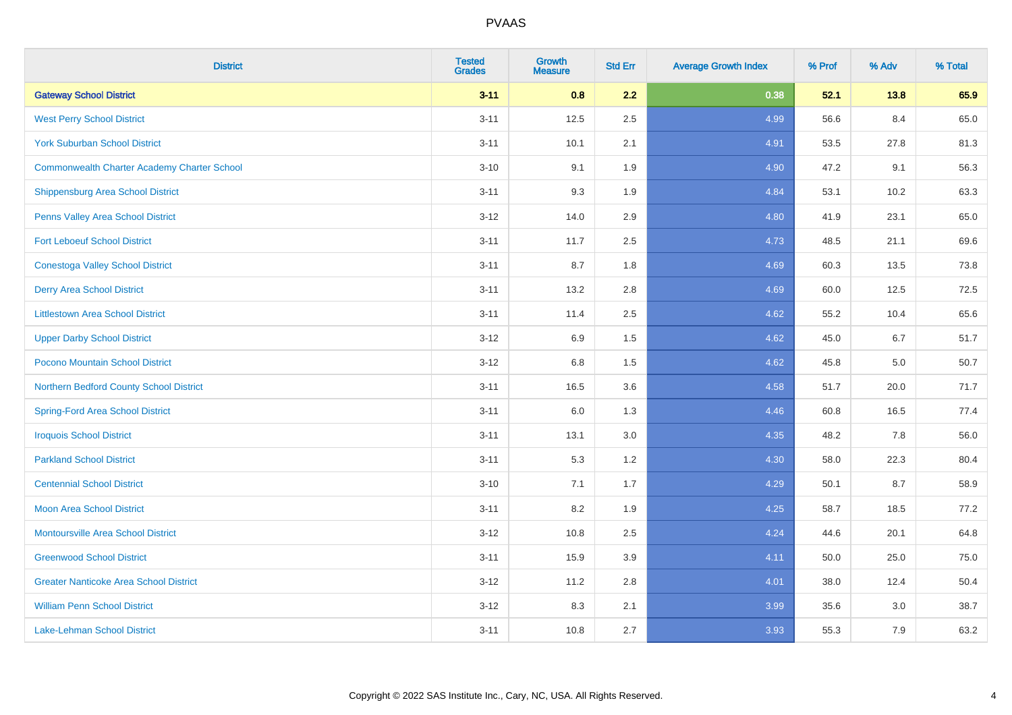| <b>District</b>                                    | <b>Tested</b><br><b>Grades</b> | <b>Growth</b><br><b>Measure</b> | <b>Std Err</b> | <b>Average Growth Index</b> | % Prof | % Adv | % Total |
|----------------------------------------------------|--------------------------------|---------------------------------|----------------|-----------------------------|--------|-------|---------|
| <b>Gateway School District</b>                     | $3 - 11$                       | 0.8                             | 2.2            | 0.38                        | 52.1   | 13.8  | 65.9    |
| <b>West Perry School District</b>                  | $3 - 11$                       | 12.5                            | 2.5            | 4.99                        | 56.6   | 8.4   | 65.0    |
| <b>York Suburban School District</b>               | $3 - 11$                       | 10.1                            | 2.1            | 4.91                        | 53.5   | 27.8  | 81.3    |
| <b>Commonwealth Charter Academy Charter School</b> | $3 - 10$                       | 9.1                             | 1.9            | 4.90                        | 47.2   | 9.1   | 56.3    |
| Shippensburg Area School District                  | $3 - 11$                       | 9.3                             | 1.9            | 4.84                        | 53.1   | 10.2  | 63.3    |
| Penns Valley Area School District                  | $3 - 12$                       | 14.0                            | 2.9            | 4.80                        | 41.9   | 23.1  | 65.0    |
| <b>Fort Leboeuf School District</b>                | $3 - 11$                       | 11.7                            | 2.5            | 4.73                        | 48.5   | 21.1  | 69.6    |
| <b>Conestoga Valley School District</b>            | $3 - 11$                       | 8.7                             | 1.8            | 4.69                        | 60.3   | 13.5  | 73.8    |
| <b>Derry Area School District</b>                  | $3 - 11$                       | 13.2                            | 2.8            | 4.69                        | 60.0   | 12.5  | 72.5    |
| <b>Littlestown Area School District</b>            | $3 - 11$                       | 11.4                            | 2.5            | 4.62                        | 55.2   | 10.4  | 65.6    |
| <b>Upper Darby School District</b>                 | $3 - 12$                       | 6.9                             | 1.5            | 4.62                        | 45.0   | 6.7   | 51.7    |
| Pocono Mountain School District                    | $3 - 12$                       | $6.8\,$                         | 1.5            | 4.62                        | 45.8   | 5.0   | 50.7    |
| Northern Bedford County School District            | $3 - 11$                       | 16.5                            | 3.6            | 4.58                        | 51.7   | 20.0  | 71.7    |
| <b>Spring-Ford Area School District</b>            | $3 - 11$                       | 6.0                             | 1.3            | 4.46                        | 60.8   | 16.5  | 77.4    |
| <b>Iroquois School District</b>                    | $3 - 11$                       | 13.1                            | 3.0            | 4.35                        | 48.2   | 7.8   | 56.0    |
| <b>Parkland School District</b>                    | $3 - 11$                       | 5.3                             | 1.2            | 4.30                        | 58.0   | 22.3  | 80.4    |
| <b>Centennial School District</b>                  | $3 - 10$                       | 7.1                             | 1.7            | 4.29                        | 50.1   | 8.7   | 58.9    |
| <b>Moon Area School District</b>                   | $3 - 11$                       | 8.2                             | 1.9            | 4.25                        | 58.7   | 18.5  | 77.2    |
| <b>Montoursville Area School District</b>          | $3 - 12$                       | 10.8                            | 2.5            | 4.24                        | 44.6   | 20.1  | 64.8    |
| <b>Greenwood School District</b>                   | $3 - 11$                       | 15.9                            | 3.9            | 4.11                        | 50.0   | 25.0  | 75.0    |
| <b>Greater Nanticoke Area School District</b>      | $3-12$                         | 11.2                            | 2.8            | 4.01                        | 38.0   | 12.4  | 50.4    |
| <b>William Penn School District</b>                | $3 - 12$                       | 8.3                             | 2.1            | 3.99                        | 35.6   | 3.0   | 38.7    |
| Lake-Lehman School District                        | $3 - 11$                       | 10.8                            | 2.7            | 3.93                        | 55.3   | 7.9   | 63.2    |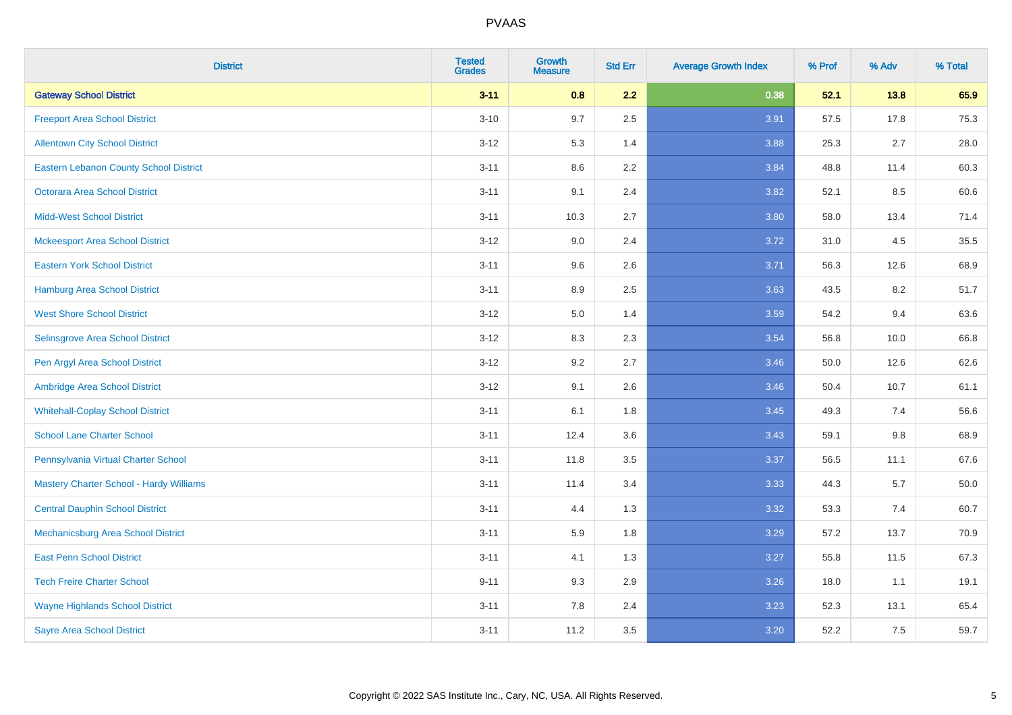| <b>District</b>                               | <b>Tested</b><br><b>Grades</b> | <b>Growth</b><br><b>Measure</b> | <b>Std Err</b> | <b>Average Growth Index</b> | % Prof | % Adv   | % Total |
|-----------------------------------------------|--------------------------------|---------------------------------|----------------|-----------------------------|--------|---------|---------|
| <b>Gateway School District</b>                | $3 - 11$                       | 0.8                             | 2.2            | 0.38                        | 52.1   | 13.8    | 65.9    |
| <b>Freeport Area School District</b>          | $3 - 10$                       | 9.7                             | 2.5            | 3.91                        | 57.5   | 17.8    | 75.3    |
| <b>Allentown City School District</b>         | $3 - 12$                       | 5.3                             | 1.4            | 3.88                        | 25.3   | 2.7     | 28.0    |
| <b>Eastern Lebanon County School District</b> | $3 - 11$                       | 8.6                             | 2.2            | 3.84                        | 48.8   | 11.4    | 60.3    |
| <b>Octorara Area School District</b>          | $3 - 11$                       | 9.1                             | 2.4            | 3.82                        | 52.1   | 8.5     | 60.6    |
| <b>Midd-West School District</b>              | $3 - 11$                       | 10.3                            | 2.7            | 3.80                        | 58.0   | 13.4    | 71.4    |
| <b>Mckeesport Area School District</b>        | $3 - 12$                       | 9.0                             | 2.4            | 3.72                        | 31.0   | 4.5     | 35.5    |
| <b>Eastern York School District</b>           | $3 - 11$                       | 9.6                             | 2.6            | 3.71                        | 56.3   | 12.6    | 68.9    |
| <b>Hamburg Area School District</b>           | $3 - 11$                       | 8.9                             | 2.5            | 3.63                        | 43.5   | 8.2     | 51.7    |
| <b>West Shore School District</b>             | $3 - 12$                       | 5.0                             | 1.4            | 3.59                        | 54.2   | 9.4     | 63.6    |
| Selinsgrove Area School District              | $3 - 12$                       | 8.3                             | 2.3            | 3.54                        | 56.8   | 10.0    | 66.8    |
| Pen Argyl Area School District                | $3 - 12$                       | 9.2                             | 2.7            | 3.46                        | 50.0   | 12.6    | 62.6    |
| Ambridge Area School District                 | $3 - 12$                       | 9.1                             | 2.6            | 3.46                        | 50.4   | 10.7    | 61.1    |
| <b>Whitehall-Coplay School District</b>       | $3 - 11$                       | 6.1                             | 1.8            | 3.45                        | 49.3   | 7.4     | 56.6    |
| <b>School Lane Charter School</b>             | $3 - 11$                       | 12.4                            | 3.6            | 3.43                        | 59.1   | $9.8\,$ | 68.9    |
| Pennsylvania Virtual Charter School           | $3 - 11$                       | 11.8                            | 3.5            | 3.37                        | 56.5   | 11.1    | 67.6    |
| Mastery Charter School - Hardy Williams       | $3 - 11$                       | 11.4                            | 3.4            | 3.33                        | 44.3   | 5.7     | 50.0    |
| <b>Central Dauphin School District</b>        | $3 - 11$                       | 4.4                             | 1.3            | 3.32                        | 53.3   | 7.4     | 60.7    |
| Mechanicsburg Area School District            | $3 - 11$                       | 5.9                             | 1.8            | 3.29                        | 57.2   | 13.7    | 70.9    |
| <b>East Penn School District</b>              | $3 - 11$                       | 4.1                             | 1.3            | 3.27                        | 55.8   | 11.5    | 67.3    |
| <b>Tech Freire Charter School</b>             | $9 - 11$                       | 9.3                             | 2.9            | 3.26                        | 18.0   | 1.1     | 19.1    |
| <b>Wayne Highlands School District</b>        | $3 - 11$                       | 7.8                             | 2.4            | 3.23                        | 52.3   | 13.1    | 65.4    |
| <b>Sayre Area School District</b>             | $3 - 11$                       | 11.2                            | 3.5            | 3.20                        | 52.2   | 7.5     | 59.7    |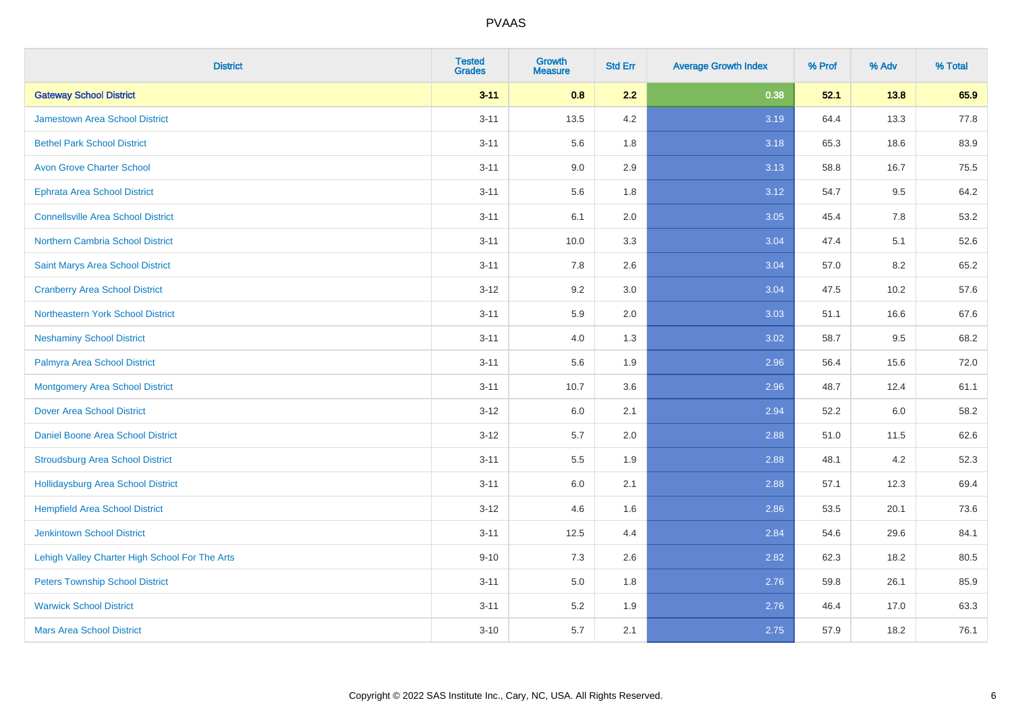| <b>District</b>                                | <b>Tested</b><br><b>Grades</b> | <b>Growth</b><br><b>Measure</b> | <b>Std Err</b> | <b>Average Growth Index</b> | % Prof | % Adv | % Total |
|------------------------------------------------|--------------------------------|---------------------------------|----------------|-----------------------------|--------|-------|---------|
| <b>Gateway School District</b>                 | $3 - 11$                       | 0.8                             | 2.2            | 0.38                        | 52.1   | 13.8  | 65.9    |
| Jamestown Area School District                 | $3 - 11$                       | 13.5                            | 4.2            | 3.19                        | 64.4   | 13.3  | 77.8    |
| <b>Bethel Park School District</b>             | $3 - 11$                       | 5.6                             | 1.8            | 3.18                        | 65.3   | 18.6  | 83.9    |
| <b>Avon Grove Charter School</b>               | $3 - 11$                       | 9.0                             | 2.9            | 3.13                        | 58.8   | 16.7  | 75.5    |
| <b>Ephrata Area School District</b>            | $3 - 11$                       | 5.6                             | 1.8            | 3.12                        | 54.7   | 9.5   | 64.2    |
| <b>Connellsville Area School District</b>      | $3 - 11$                       | 6.1                             | 2.0            | 3.05                        | 45.4   | 7.8   | 53.2    |
| Northern Cambria School District               | $3 - 11$                       | 10.0                            | 3.3            | 3.04                        | 47.4   | 5.1   | 52.6    |
| Saint Marys Area School District               | $3 - 11$                       | 7.8                             | 2.6            | 3.04                        | 57.0   | 8.2   | 65.2    |
| <b>Cranberry Area School District</b>          | $3 - 12$                       | 9.2                             | 3.0            | 3.04                        | 47.5   | 10.2  | 57.6    |
| Northeastern York School District              | $3 - 11$                       | 5.9                             | 2.0            | 3.03                        | 51.1   | 16.6  | 67.6    |
| <b>Neshaminy School District</b>               | $3 - 11$                       | 4.0                             | 1.3            | 3.02                        | 58.7   | 9.5   | 68.2    |
| Palmyra Area School District                   | $3 - 11$                       | 5.6                             | 1.9            | 2.96                        | 56.4   | 15.6  | 72.0    |
| <b>Montgomery Area School District</b>         | $3 - 11$                       | 10.7                            | 3.6            | 2.96                        | 48.7   | 12.4  | 61.1    |
| <b>Dover Area School District</b>              | $3 - 12$                       | 6.0                             | 2.1            | 2.94                        | 52.2   | 6.0   | 58.2    |
| Daniel Boone Area School District              | $3 - 12$                       | 5.7                             | 2.0            | 2.88                        | 51.0   | 11.5  | 62.6    |
| <b>Stroudsburg Area School District</b>        | $3 - 11$                       | 5.5                             | 1.9            | 2.88                        | 48.1   | 4.2   | 52.3    |
| <b>Hollidaysburg Area School District</b>      | $3 - 11$                       | 6.0                             | 2.1            | 2.88                        | 57.1   | 12.3  | 69.4    |
| <b>Hempfield Area School District</b>          | $3 - 12$                       | 4.6                             | 1.6            | 2.86                        | 53.5   | 20.1  | 73.6    |
| <b>Jenkintown School District</b>              | $3 - 11$                       | 12.5                            | 4.4            | 2.84                        | 54.6   | 29.6  | 84.1    |
| Lehigh Valley Charter High School For The Arts | $9 - 10$                       | 7.3                             | 2.6            | 2.82                        | 62.3   | 18.2  | 80.5    |
| <b>Peters Township School District</b>         | $3 - 11$                       | 5.0                             | 1.8            | 2.76                        | 59.8   | 26.1  | 85.9    |
| <b>Warwick School District</b>                 | $3 - 11$                       | 5.2                             | 1.9            | 2.76                        | 46.4   | 17.0  | 63.3    |
| <b>Mars Area School District</b>               | $3 - 10$                       | 5.7                             | 2.1            | 2.75                        | 57.9   | 18.2  | 76.1    |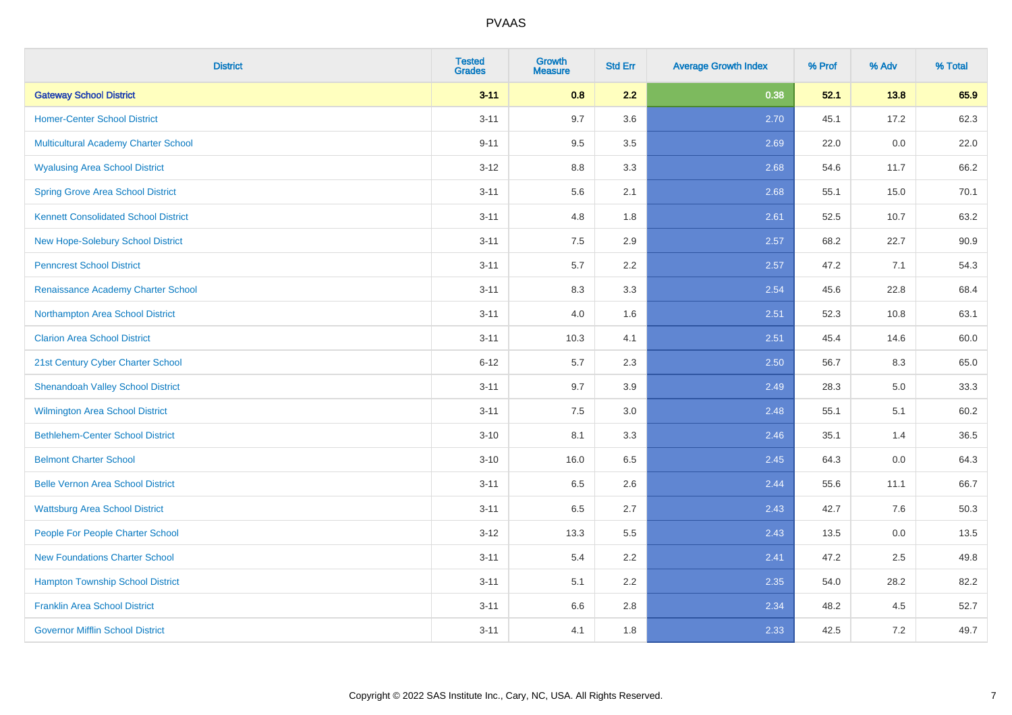| <b>District</b>                             | <b>Tested</b><br><b>Grades</b> | <b>Growth</b><br><b>Measure</b> | <b>Std Err</b> | <b>Average Growth Index</b> | % Prof | % Adv | % Total |
|---------------------------------------------|--------------------------------|---------------------------------|----------------|-----------------------------|--------|-------|---------|
| <b>Gateway School District</b>              | $3 - 11$                       | 0.8                             | 2.2            | 0.38                        | 52.1   | 13.8  | 65.9    |
| <b>Homer-Center School District</b>         | $3 - 11$                       | 9.7                             | 3.6            | 2.70                        | 45.1   | 17.2  | 62.3    |
| Multicultural Academy Charter School        | $9 - 11$                       | 9.5                             | 3.5            | 2.69                        | 22.0   | 0.0   | 22.0    |
| <b>Wyalusing Area School District</b>       | $3 - 12$                       | $8.8\,$                         | 3.3            | 2.68                        | 54.6   | 11.7  | 66.2    |
| <b>Spring Grove Area School District</b>    | $3 - 11$                       | 5.6                             | 2.1            | 2.68                        | 55.1   | 15.0  | 70.1    |
| <b>Kennett Consolidated School District</b> | $3 - 11$                       | 4.8                             | 1.8            | 2.61                        | 52.5   | 10.7  | 63.2    |
| New Hope-Solebury School District           | $3 - 11$                       | $7.5\,$                         | 2.9            | 2.57                        | 68.2   | 22.7  | 90.9    |
| <b>Penncrest School District</b>            | $3 - 11$                       | 5.7                             | 2.2            | 2.57                        | 47.2   | 7.1   | 54.3    |
| Renaissance Academy Charter School          | $3 - 11$                       | 8.3                             | 3.3            | 2.54                        | 45.6   | 22.8  | 68.4    |
| Northampton Area School District            | $3 - 11$                       | 4.0                             | 1.6            | 2.51                        | 52.3   | 10.8  | 63.1    |
| <b>Clarion Area School District</b>         | $3 - 11$                       | 10.3                            | 4.1            | 2.51                        | 45.4   | 14.6  | 60.0    |
| 21st Century Cyber Charter School           | $6 - 12$                       | 5.7                             | 2.3            | 2.50                        | 56.7   | 8.3   | 65.0    |
| <b>Shenandoah Valley School District</b>    | $3 - 11$                       | 9.7                             | 3.9            | 2.49                        | 28.3   | 5.0   | 33.3    |
| Wilmington Area School District             | $3 - 11$                       | 7.5                             | 3.0            | 2.48                        | 55.1   | 5.1   | 60.2    |
| <b>Bethlehem-Center School District</b>     | $3 - 10$                       | 8.1                             | 3.3            | 2.46                        | 35.1   | 1.4   | 36.5    |
| <b>Belmont Charter School</b>               | $3 - 10$                       | 16.0                            | 6.5            | 2.45                        | 64.3   | 0.0   | 64.3    |
| <b>Belle Vernon Area School District</b>    | $3 - 11$                       | 6.5                             | 2.6            | 2.44                        | 55.6   | 11.1  | 66.7    |
| <b>Wattsburg Area School District</b>       | $3 - 11$                       | 6.5                             | 2.7            | 2.43                        | 42.7   | 7.6   | 50.3    |
| People For People Charter School            | $3 - 12$                       | 13.3                            | 5.5            | 2.43                        | 13.5   | 0.0   | 13.5    |
| <b>New Foundations Charter School</b>       | $3 - 11$                       | 5.4                             | 2.2            | 2.41                        | 47.2   | 2.5   | 49.8    |
| <b>Hampton Township School District</b>     | $3 - 11$                       | 5.1                             | 2.2            | 2.35                        | 54.0   | 28.2  | 82.2    |
| <b>Franklin Area School District</b>        | $3 - 11$                       | 6.6                             | 2.8            | 2.34                        | 48.2   | 4.5   | 52.7    |
| <b>Governor Mifflin School District</b>     | $3 - 11$                       | 4.1                             | 1.8            | 2.33                        | 42.5   | 7.2   | 49.7    |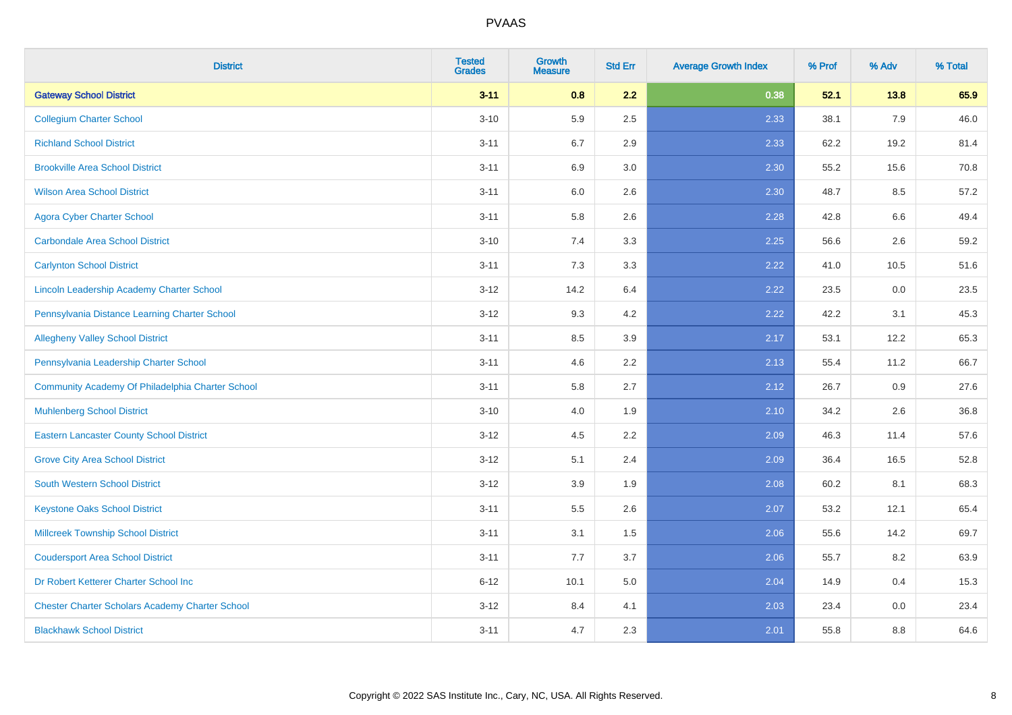| <b>District</b>                                        | <b>Tested</b><br><b>Grades</b> | <b>Growth</b><br><b>Measure</b> | <b>Std Err</b> | <b>Average Growth Index</b> | % Prof | % Adv | % Total |
|--------------------------------------------------------|--------------------------------|---------------------------------|----------------|-----------------------------|--------|-------|---------|
| <b>Gateway School District</b>                         | $3 - 11$                       | 0.8                             | 2.2            | 0.38                        | 52.1   | 13.8  | 65.9    |
| <b>Collegium Charter School</b>                        | $3 - 10$                       | 5.9                             | 2.5            | 2.33                        | 38.1   | 7.9   | 46.0    |
| <b>Richland School District</b>                        | $3 - 11$                       | 6.7                             | 2.9            | 2.33                        | 62.2   | 19.2  | 81.4    |
| <b>Brookville Area School District</b>                 | $3 - 11$                       | 6.9                             | 3.0            | 2.30                        | 55.2   | 15.6  | 70.8    |
| <b>Wilson Area School District</b>                     | $3 - 11$                       | 6.0                             | 2.6            | 2.30                        | 48.7   | 8.5   | 57.2    |
| <b>Agora Cyber Charter School</b>                      | $3 - 11$                       | 5.8                             | 2.6            | 2.28                        | 42.8   | 6.6   | 49.4    |
| <b>Carbondale Area School District</b>                 | $3 - 10$                       | 7.4                             | 3.3            | 2.25                        | 56.6   | 2.6   | 59.2    |
| <b>Carlynton School District</b>                       | $3 - 11$                       | 7.3                             | 3.3            | 2.22                        | 41.0   | 10.5  | 51.6    |
| Lincoln Leadership Academy Charter School              | $3 - 12$                       | 14.2                            | 6.4            | 2.22                        | 23.5   | 0.0   | 23.5    |
| Pennsylvania Distance Learning Charter School          | $3 - 12$                       | 9.3                             | 4.2            | 2.22                        | 42.2   | 3.1   | 45.3    |
| <b>Allegheny Valley School District</b>                | $3 - 11$                       | 8.5                             | 3.9            | 2.17                        | 53.1   | 12.2  | 65.3    |
| Pennsylvania Leadership Charter School                 | $3 - 11$                       | 4.6                             | 2.2            | 2.13                        | 55.4   | 11.2  | 66.7    |
| Community Academy Of Philadelphia Charter School       | $3 - 11$                       | 5.8                             | 2.7            | 2.12                        | 26.7   | 0.9   | 27.6    |
| <b>Muhlenberg School District</b>                      | $3 - 10$                       | 4.0                             | 1.9            | 2.10                        | 34.2   | 2.6   | 36.8    |
| <b>Eastern Lancaster County School District</b>        | $3 - 12$                       | 4.5                             | 2.2            | 2.09                        | 46.3   | 11.4  | 57.6    |
| <b>Grove City Area School District</b>                 | $3 - 12$                       | 5.1                             | 2.4            | 2.09                        | 36.4   | 16.5  | 52.8    |
| <b>South Western School District</b>                   | $3 - 12$                       | 3.9                             | 1.9            | 2.08                        | 60.2   | 8.1   | 68.3    |
| <b>Keystone Oaks School District</b>                   | $3 - 11$                       | 5.5                             | 2.6            | 2.07                        | 53.2   | 12.1  | 65.4    |
| <b>Millcreek Township School District</b>              | $3 - 11$                       | 3.1                             | 1.5            | 2.06                        | 55.6   | 14.2  | 69.7    |
| <b>Coudersport Area School District</b>                | $3 - 11$                       | 7.7                             | 3.7            | 2.06                        | 55.7   | 8.2   | 63.9    |
| Dr Robert Ketterer Charter School Inc                  | $6 - 12$                       | 10.1                            | 5.0            | 2.04                        | 14.9   | 0.4   | 15.3    |
| <b>Chester Charter Scholars Academy Charter School</b> | $3 - 12$                       | 8.4                             | 4.1            | 2.03                        | 23.4   | 0.0   | 23.4    |
| <b>Blackhawk School District</b>                       | $3 - 11$                       | 4.7                             | 2.3            | 2.01                        | 55.8   | 8.8   | 64.6    |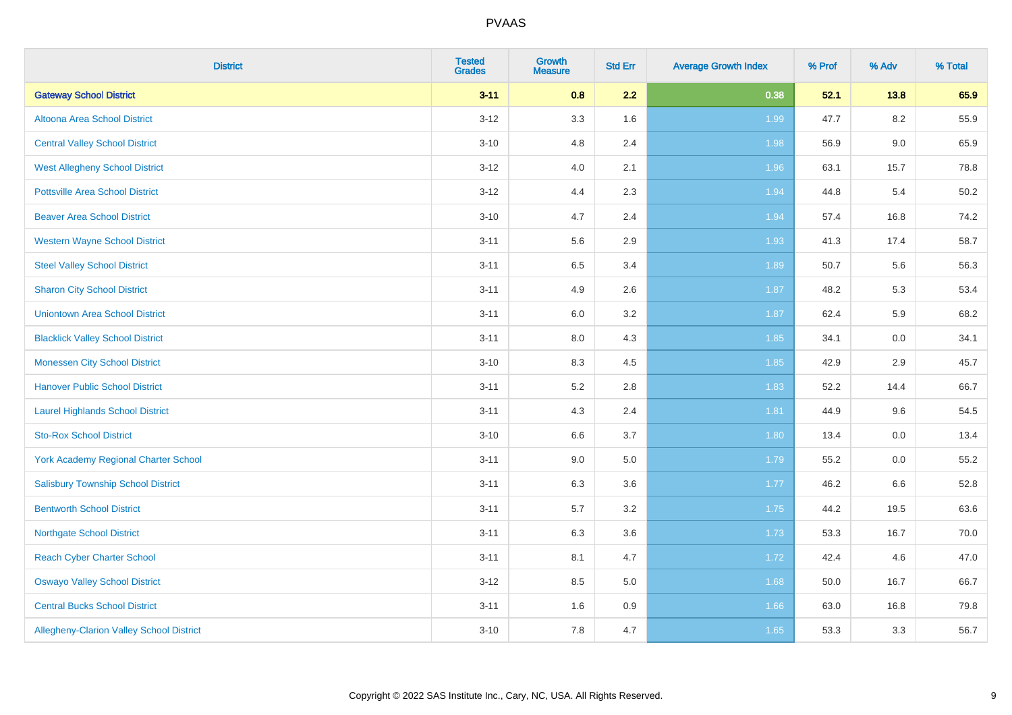| <b>District</b>                           | <b>Tested</b><br><b>Grades</b> | <b>Growth</b><br><b>Measure</b> | <b>Std Err</b> | <b>Average Growth Index</b> | % Prof | % Adv   | % Total |
|-------------------------------------------|--------------------------------|---------------------------------|----------------|-----------------------------|--------|---------|---------|
| <b>Gateway School District</b>            | $3 - 11$                       | 0.8                             | 2.2            | 0.38                        | 52.1   | 13.8    | 65.9    |
| Altoona Area School District              | $3 - 12$                       | 3.3                             | 1.6            | 1.99                        | 47.7   | $8.2\,$ | 55.9    |
| <b>Central Valley School District</b>     | $3 - 10$                       | 4.8                             | 2.4            | 1.98                        | 56.9   | 9.0     | 65.9    |
| <b>West Allegheny School District</b>     | $3 - 12$                       | 4.0                             | 2.1            | 1.96                        | 63.1   | 15.7    | 78.8    |
| <b>Pottsville Area School District</b>    | $3 - 12$                       | 4.4                             | 2.3            | 1.94                        | 44.8   | 5.4     | 50.2    |
| <b>Beaver Area School District</b>        | $3 - 10$                       | 4.7                             | 2.4            | 1.94                        | 57.4   | 16.8    | 74.2    |
| <b>Western Wayne School District</b>      | $3 - 11$                       | 5.6                             | 2.9            | 1.93                        | 41.3   | 17.4    | 58.7    |
| <b>Steel Valley School District</b>       | $3 - 11$                       | 6.5                             | 3.4            | 1.89                        | 50.7   | 5.6     | 56.3    |
| <b>Sharon City School District</b>        | $3 - 11$                       | 4.9                             | 2.6            | 1.87                        | 48.2   | 5.3     | 53.4    |
| <b>Uniontown Area School District</b>     | $3 - 11$                       | 6.0                             | 3.2            | 1.87                        | 62.4   | 5.9     | 68.2    |
| <b>Blacklick Valley School District</b>   | $3 - 11$                       | $8.0\,$                         | 4.3            | 1.85                        | 34.1   | 0.0     | 34.1    |
| <b>Monessen City School District</b>      | $3 - 10$                       | 8.3                             | 4.5            | 1.85                        | 42.9   | 2.9     | 45.7    |
| <b>Hanover Public School District</b>     | $3 - 11$                       | 5.2                             | 2.8            | 1.83                        | 52.2   | 14.4    | 66.7    |
| <b>Laurel Highlands School District</b>   | $3 - 11$                       | 4.3                             | 2.4            | 1.81                        | 44.9   | 9.6     | 54.5    |
| <b>Sto-Rox School District</b>            | $3 - 10$                       | 6.6                             | 3.7            | 1.80                        | 13.4   | 0.0     | 13.4    |
| York Academy Regional Charter School      | $3 - 11$                       | 9.0                             | 5.0            | 1.79                        | 55.2   | $0.0\,$ | 55.2    |
| <b>Salisbury Township School District</b> | $3 - 11$                       | 6.3                             | 3.6            | 1.77                        | 46.2   | 6.6     | 52.8    |
| <b>Bentworth School District</b>          | $3 - 11$                       | 5.7                             | 3.2            | 1.75                        | 44.2   | 19.5    | 63.6    |
| <b>Northgate School District</b>          | $3 - 11$                       | 6.3                             | 3.6            | 1.73                        | 53.3   | 16.7    | 70.0    |
| <b>Reach Cyber Charter School</b>         | $3 - 11$                       | 8.1                             | 4.7            | 1.72                        | 42.4   | 4.6     | 47.0    |
| <b>Oswayo Valley School District</b>      | $3 - 12$                       | 8.5                             | 5.0            | 1.68                        | 50.0   | 16.7    | 66.7    |
| <b>Central Bucks School District</b>      | $3 - 11$                       | 1.6                             | 0.9            | 1.66                        | 63.0   | 16.8    | 79.8    |
| Allegheny-Clarion Valley School District  | $3 - 10$                       | 7.8                             | 4.7            | 1.65                        | 53.3   | 3.3     | 56.7    |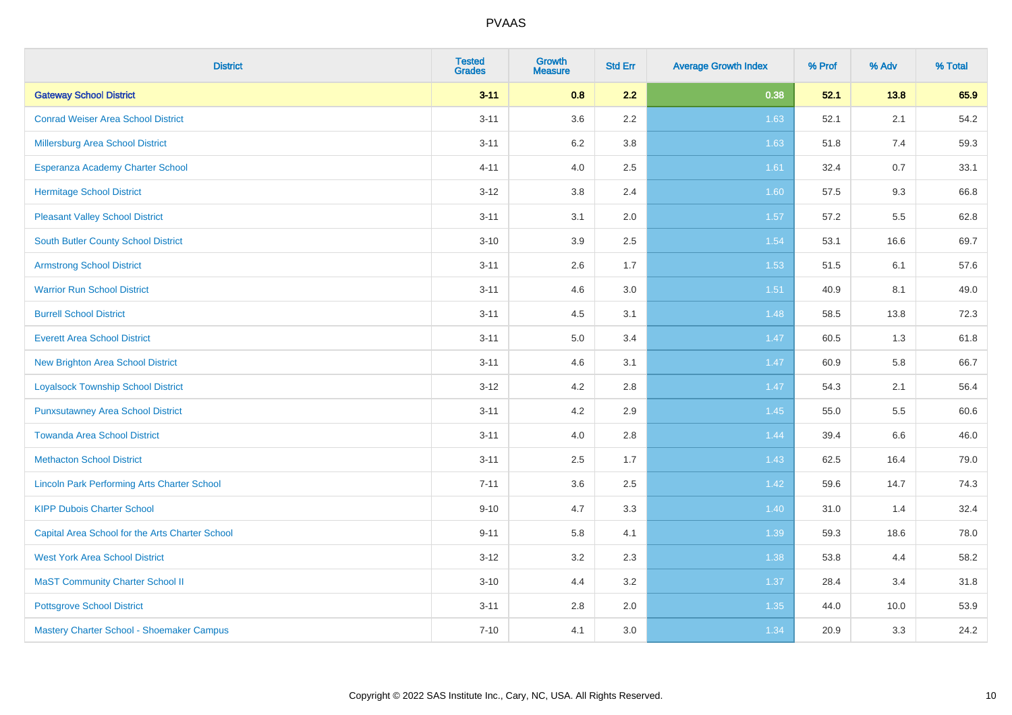| <b>District</b>                                    | <b>Tested</b><br><b>Grades</b> | <b>Growth</b><br><b>Measure</b> | <b>Std Err</b> | <b>Average Growth Index</b> | % Prof | % Adv | % Total |
|----------------------------------------------------|--------------------------------|---------------------------------|----------------|-----------------------------|--------|-------|---------|
| <b>Gateway School District</b>                     | $3 - 11$                       | 0.8                             | 2.2            | 0.38                        | 52.1   | 13.8  | 65.9    |
| <b>Conrad Weiser Area School District</b>          | $3 - 11$                       | 3.6                             | 2.2            | 1.63                        | 52.1   | 2.1   | 54.2    |
| Millersburg Area School District                   | $3 - 11$                       | $6.2\,$                         | 3.8            | 1.63                        | 51.8   | 7.4   | 59.3    |
| Esperanza Academy Charter School                   | $4 - 11$                       | 4.0                             | 2.5            | 1.61                        | 32.4   | 0.7   | 33.1    |
| <b>Hermitage School District</b>                   | $3 - 12$                       | 3.8                             | 2.4            | 1.60                        | 57.5   | 9.3   | 66.8    |
| <b>Pleasant Valley School District</b>             | $3 - 11$                       | 3.1                             | 2.0            | 1.57                        | 57.2   | 5.5   | 62.8    |
| <b>South Butler County School District</b>         | $3 - 10$                       | 3.9                             | 2.5            | 1.54                        | 53.1   | 16.6  | 69.7    |
| <b>Armstrong School District</b>                   | $3 - 11$                       | 2.6                             | 1.7            | 1.53                        | 51.5   | 6.1   | 57.6    |
| <b>Warrior Run School District</b>                 | $3 - 11$                       | 4.6                             | 3.0            | 1.51                        | 40.9   | 8.1   | 49.0    |
| <b>Burrell School District</b>                     | $3 - 11$                       | 4.5                             | 3.1            | 1.48                        | 58.5   | 13.8  | 72.3    |
| <b>Everett Area School District</b>                | $3 - 11$                       | 5.0                             | 3.4            | 1.47                        | 60.5   | 1.3   | 61.8    |
| <b>New Brighton Area School District</b>           | $3 - 11$                       | 4.6                             | 3.1            | 1.47                        | 60.9   | 5.8   | 66.7    |
| <b>Loyalsock Township School District</b>          | $3 - 12$                       | 4.2                             | 2.8            | 1.47                        | 54.3   | 2.1   | 56.4    |
| <b>Punxsutawney Area School District</b>           | $3 - 11$                       | 4.2                             | 2.9            | 1.45                        | 55.0   | 5.5   | 60.6    |
| <b>Towanda Area School District</b>                | $3 - 11$                       | 4.0                             | 2.8            | 1.44                        | 39.4   | 6.6   | 46.0    |
| <b>Methacton School District</b>                   | $3 - 11$                       | 2.5                             | 1.7            | 1.43                        | 62.5   | 16.4  | 79.0    |
| <b>Lincoln Park Performing Arts Charter School</b> | $7 - 11$                       | 3.6                             | 2.5            | 1.42                        | 59.6   | 14.7  | 74.3    |
| <b>KIPP Dubois Charter School</b>                  | $9 - 10$                       | 4.7                             | 3.3            | 1.40                        | 31.0   | 1.4   | 32.4    |
| Capital Area School for the Arts Charter School    | $9 - 11$                       | 5.8                             | 4.1            | 1.39                        | 59.3   | 18.6  | 78.0    |
| <b>West York Area School District</b>              | $3 - 12$                       | 3.2                             | 2.3            | 1.38                        | 53.8   | 4.4   | 58.2    |
| <b>MaST Community Charter School II</b>            | $3 - 10$                       | 4.4                             | 3.2            | 1.37                        | 28.4   | 3.4   | 31.8    |
| <b>Pottsgrove School District</b>                  | $3 - 11$                       | 2.8                             | 2.0            | 1.35                        | 44.0   | 10.0  | 53.9    |
| Mastery Charter School - Shoemaker Campus          | $7 - 10$                       | 4.1                             | 3.0            | 1.34                        | 20.9   | 3.3   | 24.2    |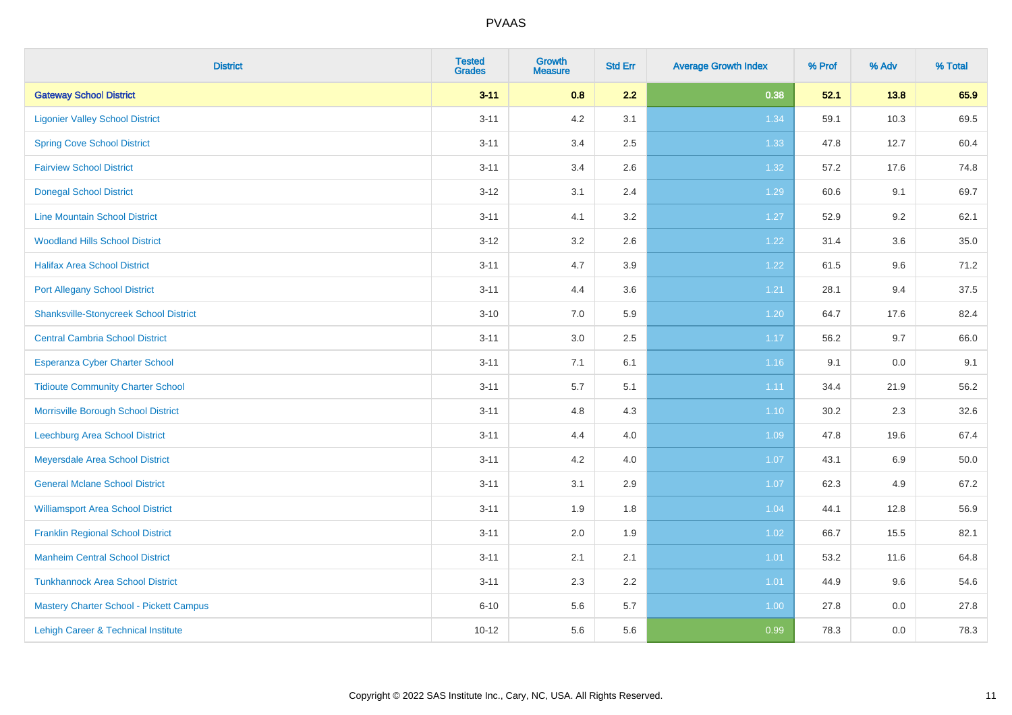| <b>District</b>                                | <b>Tested</b><br><b>Grades</b> | <b>Growth</b><br><b>Measure</b> | <b>Std Err</b> | <b>Average Growth Index</b> | % Prof | % Adv | % Total |
|------------------------------------------------|--------------------------------|---------------------------------|----------------|-----------------------------|--------|-------|---------|
| <b>Gateway School District</b>                 | $3 - 11$                       | 0.8                             | 2.2            | 0.38                        | 52.1   | 13.8  | 65.9    |
| <b>Ligonier Valley School District</b>         | $3 - 11$                       | 4.2                             | 3.1            | 1.34                        | 59.1   | 10.3  | 69.5    |
| <b>Spring Cove School District</b>             | $3 - 11$                       | 3.4                             | 2.5            | 1.33                        | 47.8   | 12.7  | 60.4    |
| <b>Fairview School District</b>                | $3 - 11$                       | 3.4                             | 2.6            | 1.32                        | 57.2   | 17.6  | 74.8    |
| <b>Donegal School District</b>                 | $3 - 12$                       | 3.1                             | 2.4            | 1.29                        | 60.6   | 9.1   | 69.7    |
| <b>Line Mountain School District</b>           | $3 - 11$                       | 4.1                             | 3.2            | 1.27                        | 52.9   | 9.2   | 62.1    |
| <b>Woodland Hills School District</b>          | $3 - 12$                       | 3.2                             | 2.6            | 1.22                        | 31.4   | 3.6   | 35.0    |
| <b>Halifax Area School District</b>            | $3 - 11$                       | 4.7                             | 3.9            | 1.22                        | 61.5   | 9.6   | 71.2    |
| <b>Port Allegany School District</b>           | $3 - 11$                       | 4.4                             | 3.6            | 1.21                        | 28.1   | 9.4   | 37.5    |
| <b>Shanksville-Stonycreek School District</b>  | $3 - 10$                       | 7.0                             | 5.9            | 1.20                        | 64.7   | 17.6  | 82.4    |
| <b>Central Cambria School District</b>         | $3 - 11$                       | 3.0                             | 2.5            | 1.17                        | 56.2   | 9.7   | 66.0    |
| Esperanza Cyber Charter School                 | $3 - 11$                       | 7.1                             | 6.1            | $1.16$                      | 9.1    | 0.0   | 9.1     |
| <b>Tidioute Community Charter School</b>       | $3 - 11$                       | 5.7                             | 5.1            | 1.11                        | 34.4   | 21.9  | 56.2    |
| Morrisville Borough School District            | $3 - 11$                       | 4.8                             | 4.3            | 1.10                        | 30.2   | 2.3   | 32.6    |
| Leechburg Area School District                 | $3 - 11$                       | 4.4                             | 4.0            | 1.09                        | 47.8   | 19.6  | 67.4    |
| Meyersdale Area School District                | $3 - 11$                       | 4.2                             | 4.0            | 1.07                        | 43.1   | 6.9   | 50.0    |
| <b>General Mclane School District</b>          | $3 - 11$                       | 3.1                             | 2.9            | 1.07                        | 62.3   | 4.9   | 67.2    |
| <b>Williamsport Area School District</b>       | $3 - 11$                       | 1.9                             | 1.8            | 1.04                        | 44.1   | 12.8  | 56.9    |
| <b>Franklin Regional School District</b>       | $3 - 11$                       | 2.0                             | 1.9            | 1.02                        | 66.7   | 15.5  | 82.1    |
| <b>Manheim Central School District</b>         | $3 - 11$                       | 2.1                             | 2.1            | $1.01$                      | 53.2   | 11.6  | 64.8    |
| <b>Tunkhannock Area School District</b>        | $3 - 11$                       | 2.3                             | 2.2            | 1.01                        | 44.9   | 9.6   | 54.6    |
| <b>Mastery Charter School - Pickett Campus</b> | $6 - 10$                       | 5.6                             | 5.7            | 1.00                        | 27.8   | 0.0   | 27.8    |
| Lehigh Career & Technical Institute            | $10 - 12$                      | 5.6                             | 5.6            | 0.99                        | 78.3   | 0.0   | 78.3    |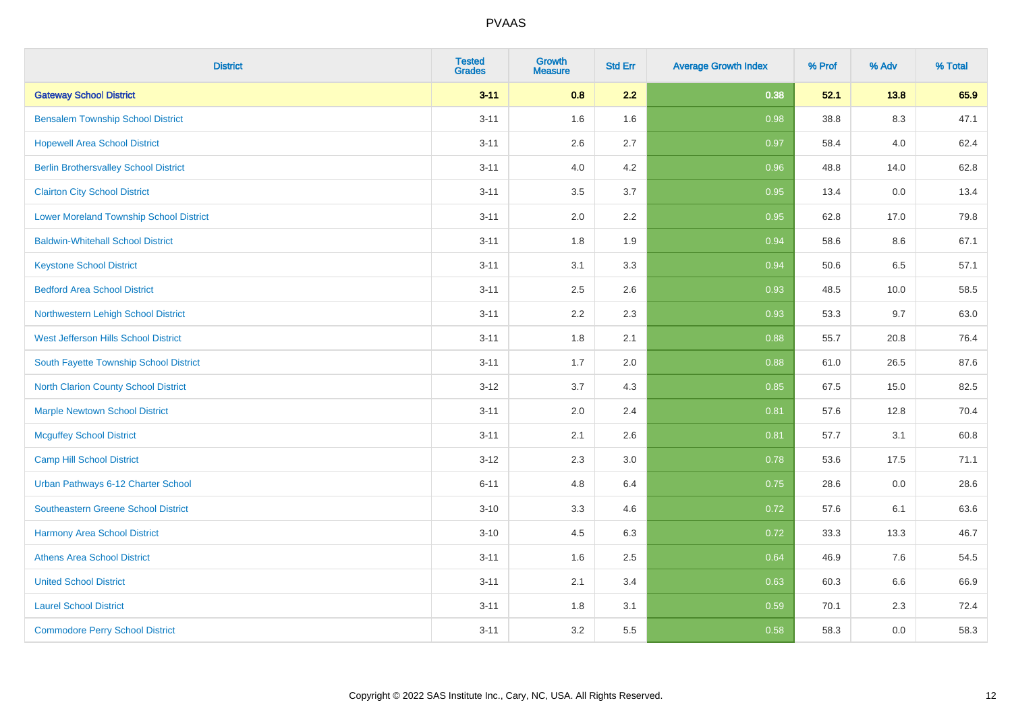| <b>District</b>                              | <b>Tested</b><br><b>Grades</b> | <b>Growth</b><br><b>Measure</b> | <b>Std Err</b> | <b>Average Growth Index</b> | % Prof | % Adv   | % Total |
|----------------------------------------------|--------------------------------|---------------------------------|----------------|-----------------------------|--------|---------|---------|
| <b>Gateway School District</b>               | $3 - 11$                       | 0.8                             | 2.2            | 0.38                        | 52.1   | 13.8    | 65.9    |
| <b>Bensalem Township School District</b>     | $3 - 11$                       | 1.6                             | 1.6            | 0.98                        | 38.8   | $8.3\,$ | 47.1    |
| <b>Hopewell Area School District</b>         | $3 - 11$                       | 2.6                             | 2.7            | 0.97                        | 58.4   | 4.0     | 62.4    |
| <b>Berlin Brothersvalley School District</b> | $3 - 11$                       | 4.0                             | 4.2            | 0.96                        | 48.8   | 14.0    | 62.8    |
| <b>Clairton City School District</b>         | $3 - 11$                       | 3.5                             | 3.7            | 0.95                        | 13.4   | 0.0     | 13.4    |
| Lower Moreland Township School District      | $3 - 11$                       | 2.0                             | 2.2            | 0.95                        | 62.8   | 17.0    | 79.8    |
| <b>Baldwin-Whitehall School District</b>     | $3 - 11$                       | 1.8                             | 1.9            | 0.94                        | 58.6   | 8.6     | 67.1    |
| <b>Keystone School District</b>              | $3 - 11$                       | 3.1                             | 3.3            | 0.94                        | 50.6   | 6.5     | 57.1    |
| <b>Bedford Area School District</b>          | $3 - 11$                       | 2.5                             | 2.6            | 0.93                        | 48.5   | 10.0    | 58.5    |
| Northwestern Lehigh School District          | $3 - 11$                       | 2.2                             | 2.3            | 0.93                        | 53.3   | 9.7     | 63.0    |
| West Jefferson Hills School District         | $3 - 11$                       | 1.8                             | 2.1            | 0.88                        | 55.7   | 20.8    | 76.4    |
| South Fayette Township School District       | $3 - 11$                       | 1.7                             | 2.0            | 0.88                        | 61.0   | 26.5    | 87.6    |
| <b>North Clarion County School District</b>  | $3-12$                         | 3.7                             | 4.3            | 0.85                        | 67.5   | 15.0    | 82.5    |
| <b>Marple Newtown School District</b>        | $3 - 11$                       | 2.0                             | 2.4            | 0.81                        | 57.6   | 12.8    | 70.4    |
| <b>Mcguffey School District</b>              | $3 - 11$                       | 2.1                             | 2.6            | 0.81                        | 57.7   | 3.1     | 60.8    |
| Camp Hill School District                    | $3-12$                         | 2.3                             | 3.0            | 0.78                        | 53.6   | 17.5    | 71.1    |
| Urban Pathways 6-12 Charter School           | $6 - 11$                       | 4.8                             | 6.4            | 0.75                        | 28.6   | 0.0     | 28.6    |
| Southeastern Greene School District          | $3 - 10$                       | 3.3                             | 4.6            | 0.72                        | 57.6   | 6.1     | 63.6    |
| <b>Harmony Area School District</b>          | $3 - 10$                       | 4.5                             | 6.3            | 0.72                        | 33.3   | 13.3    | 46.7    |
| <b>Athens Area School District</b>           | $3 - 11$                       | 1.6                             | 2.5            | 0.64                        | 46.9   | 7.6     | 54.5    |
| <b>United School District</b>                | $3 - 11$                       | 2.1                             | 3.4            | 0.63                        | 60.3   | 6.6     | 66.9    |
| <b>Laurel School District</b>                | $3 - 11$                       | 1.8                             | 3.1            | 0.59                        | 70.1   | 2.3     | 72.4    |
| <b>Commodore Perry School District</b>       | $3 - 11$                       | 3.2                             | 5.5            | 0.58                        | 58.3   | 0.0     | 58.3    |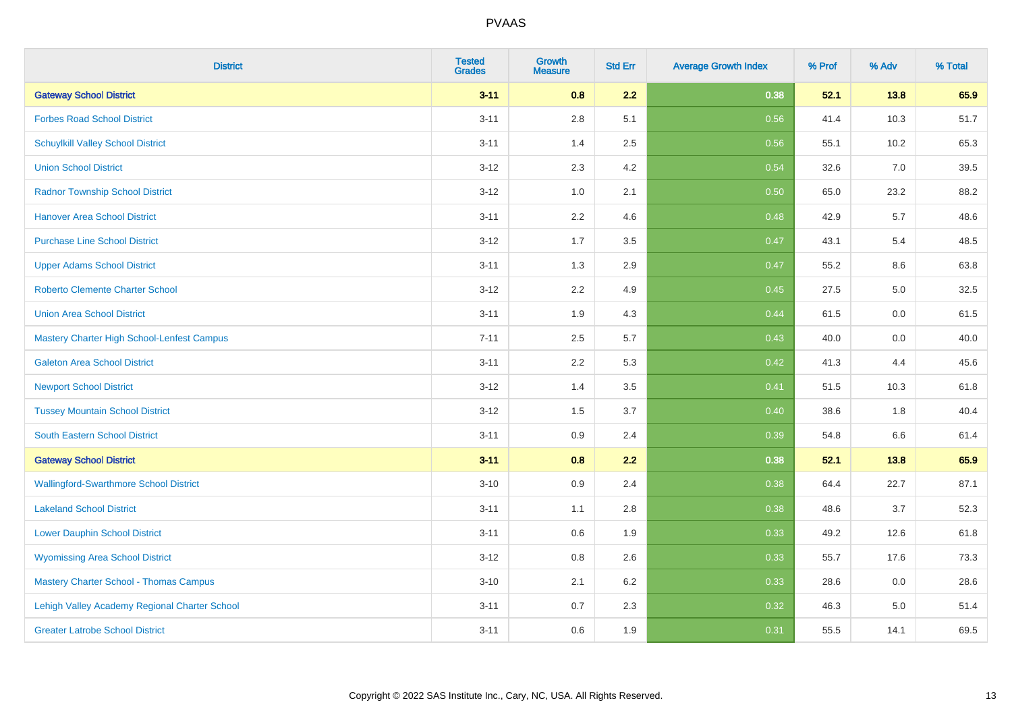| <b>District</b>                               | <b>Tested</b><br><b>Grades</b> | <b>Growth</b><br><b>Measure</b> | <b>Std Err</b> | <b>Average Growth Index</b> | % Prof | % Adv | % Total |
|-----------------------------------------------|--------------------------------|---------------------------------|----------------|-----------------------------|--------|-------|---------|
| <b>Gateway School District</b>                | $3 - 11$                       | 0.8                             | 2.2            | 0.38                        | 52.1   | 13.8  | 65.9    |
| <b>Forbes Road School District</b>            | $3 - 11$                       | 2.8                             | 5.1            | 0.56                        | 41.4   | 10.3  | 51.7    |
| <b>Schuylkill Valley School District</b>      | $3 - 11$                       | 1.4                             | 2.5            | 0.56                        | 55.1   | 10.2  | 65.3    |
| <b>Union School District</b>                  | $3 - 12$                       | 2.3                             | 4.2            | 0.54                        | 32.6   | 7.0   | 39.5    |
| <b>Radnor Township School District</b>        | $3 - 12$                       | 1.0                             | 2.1            | 0.50                        | 65.0   | 23.2  | 88.2    |
| <b>Hanover Area School District</b>           | $3 - 11$                       | 2.2                             | 4.6            | 0.48                        | 42.9   | 5.7   | 48.6    |
| <b>Purchase Line School District</b>          | $3 - 12$                       | 1.7                             | 3.5            | 0.47                        | 43.1   | 5.4   | 48.5    |
| <b>Upper Adams School District</b>            | $3 - 11$                       | 1.3                             | 2.9            | 0.47                        | 55.2   | 8.6   | 63.8    |
| <b>Roberto Clemente Charter School</b>        | $3 - 12$                       | 2.2                             | 4.9            | 0.45                        | 27.5   | 5.0   | 32.5    |
| <b>Union Area School District</b>             | $3 - 11$                       | 1.9                             | 4.3            | 0.44                        | 61.5   | 0.0   | 61.5    |
| Mastery Charter High School-Lenfest Campus    | $7 - 11$                       | 2.5                             | 5.7            | 0.43                        | 40.0   | 0.0   | 40.0    |
| <b>Galeton Area School District</b>           | $3 - 11$                       | 2.2                             | 5.3            | 0.42                        | 41.3   | 4.4   | 45.6    |
| <b>Newport School District</b>                | $3 - 12$                       | 1.4                             | 3.5            | 0.41                        | 51.5   | 10.3  | 61.8    |
| <b>Tussey Mountain School District</b>        | $3 - 12$                       | 1.5                             | 3.7            | 0.40                        | 38.6   | 1.8   | 40.4    |
| <b>South Eastern School District</b>          | $3 - 11$                       | $0.9\,$                         | 2.4            | 0.39                        | 54.8   | 6.6   | 61.4    |
| <b>Gateway School District</b>                | $3 - 11$                       | 0.8                             | 2.2            | 0.38                        | 52.1   | 13.8  | 65.9    |
| <b>Wallingford-Swarthmore School District</b> | $3 - 10$                       | $0.9\,$                         | 2.4            | 0.38                        | 64.4   | 22.7  | 87.1    |
| <b>Lakeland School District</b>               | $3 - 11$                       | 1.1                             | 2.8            | 0.38                        | 48.6   | 3.7   | 52.3    |
| <b>Lower Dauphin School District</b>          | $3 - 11$                       | 0.6                             | 1.9            | 0.33                        | 49.2   | 12.6  | 61.8    |
| <b>Wyomissing Area School District</b>        | $3 - 12$                       | 0.8                             | 2.6            | 0.33                        | 55.7   | 17.6  | 73.3    |
| <b>Mastery Charter School - Thomas Campus</b> | $3 - 10$                       | 2.1                             | 6.2            | 0.33                        | 28.6   | 0.0   | 28.6    |
| Lehigh Valley Academy Regional Charter School | $3 - 11$                       | 0.7                             | 2.3            | 0.32                        | 46.3   | 5.0   | 51.4    |
| <b>Greater Latrobe School District</b>        | $3 - 11$                       | 0.6                             | 1.9            | 0.31                        | 55.5   | 14.1  | 69.5    |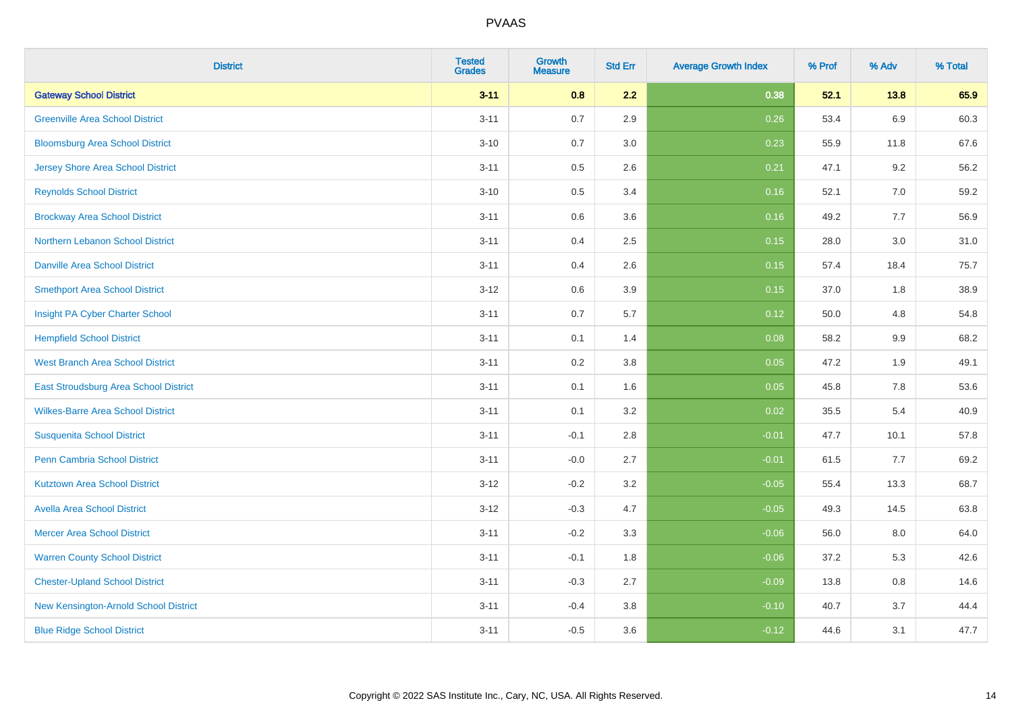| <b>District</b>                              | <b>Tested</b><br><b>Grades</b> | <b>Growth</b><br><b>Measure</b> | <b>Std Err</b> | <b>Average Growth Index</b> | % Prof | % Adv   | % Total |
|----------------------------------------------|--------------------------------|---------------------------------|----------------|-----------------------------|--------|---------|---------|
| <b>Gateway School District</b>               | $3 - 11$                       | 0.8                             | 2.2            | 0.38                        | 52.1   | 13.8    | 65.9    |
| <b>Greenville Area School District</b>       | $3 - 11$                       | $0.7\,$                         | 2.9            | 0.26                        | 53.4   | 6.9     | 60.3    |
| <b>Bloomsburg Area School District</b>       | $3 - 10$                       | 0.7                             | 3.0            | 0.23                        | 55.9   | 11.8    | 67.6    |
| <b>Jersey Shore Area School District</b>     | $3 - 11$                       | $0.5\,$                         | 2.6            | 0.21                        | 47.1   | 9.2     | 56.2    |
| <b>Reynolds School District</b>              | $3 - 10$                       | 0.5                             | 3.4            | 0.16                        | 52.1   | 7.0     | 59.2    |
| <b>Brockway Area School District</b>         | $3 - 11$                       | $0.6\,$                         | 3.6            | 0.16                        | 49.2   | 7.7     | 56.9    |
| Northern Lebanon School District             | $3 - 11$                       | 0.4                             | 2.5            | 0.15                        | 28.0   | 3.0     | 31.0    |
| <b>Danville Area School District</b>         | $3 - 11$                       | 0.4                             | 2.6            | 0.15                        | 57.4   | 18.4    | 75.7    |
| <b>Smethport Area School District</b>        | $3 - 12$                       | 0.6                             | 3.9            | 0.15                        | 37.0   | 1.8     | 38.9    |
| Insight PA Cyber Charter School              | $3 - 11$                       | $0.7\,$                         | 5.7            | 0.12                        | 50.0   | 4.8     | 54.8    |
| <b>Hempfield School District</b>             | $3 - 11$                       | 0.1                             | 1.4            | 0.08                        | 58.2   | 9.9     | 68.2    |
| <b>West Branch Area School District</b>      | $3 - 11$                       | 0.2                             | 3.8            | 0.05                        | 47.2   | 1.9     | 49.1    |
| <b>East Stroudsburg Area School District</b> | $3 - 11$                       | 0.1                             | 1.6            | 0.05                        | 45.8   | 7.8     | 53.6    |
| <b>Wilkes-Barre Area School District</b>     | $3 - 11$                       | 0.1                             | 3.2            | 0.02                        | 35.5   | 5.4     | 40.9    |
| <b>Susquenita School District</b>            | $3 - 11$                       | $-0.1$                          | 2.8            | $-0.01$                     | 47.7   | 10.1    | 57.8    |
| Penn Cambria School District                 | $3 - 11$                       | $-0.0$                          | 2.7            | $-0.01$                     | 61.5   | 7.7     | 69.2    |
| <b>Kutztown Area School District</b>         | $3 - 12$                       | $-0.2$                          | 3.2            | $-0.05$                     | 55.4   | 13.3    | 68.7    |
| <b>Avella Area School District</b>           | $3 - 12$                       | $-0.3$                          | 4.7            | $-0.05$                     | 49.3   | 14.5    | 63.8    |
| <b>Mercer Area School District</b>           | $3 - 11$                       | $-0.2$                          | 3.3            | $-0.06$                     | 56.0   | $8.0\,$ | 64.0    |
| <b>Warren County School District</b>         | $3 - 11$                       | $-0.1$                          | 1.8            | $-0.06$                     | 37.2   | 5.3     | 42.6    |
| <b>Chester-Upland School District</b>        | $3 - 11$                       | $-0.3$                          | 2.7            | $-0.09$                     | 13.8   | 0.8     | 14.6    |
| New Kensington-Arnold School District        | $3 - 11$                       | $-0.4$                          | 3.8            | $-0.10$                     | 40.7   | 3.7     | 44.4    |
| <b>Blue Ridge School District</b>            | $3 - 11$                       | $-0.5$                          | 3.6            | $-0.12$                     | 44.6   | 3.1     | 47.7    |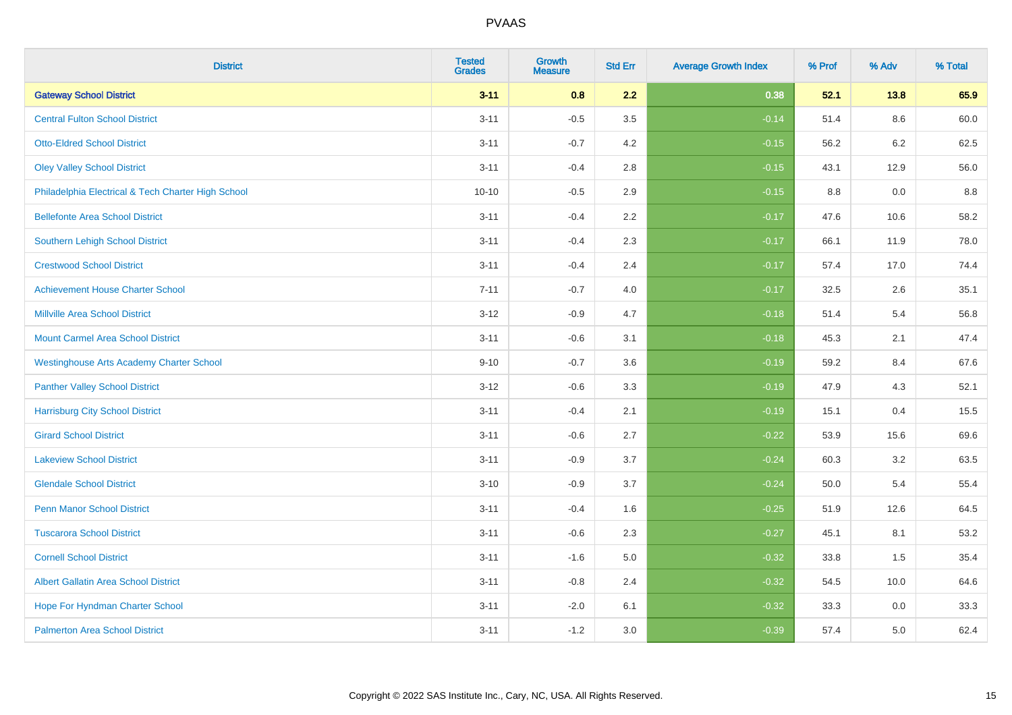| <b>District</b>                                    | <b>Tested</b><br><b>Grades</b> | <b>Growth</b><br><b>Measure</b> | <b>Std Err</b> | <b>Average Growth Index</b> | % Prof | % Adv   | % Total |
|----------------------------------------------------|--------------------------------|---------------------------------|----------------|-----------------------------|--------|---------|---------|
| <b>Gateway School District</b>                     | $3 - 11$                       | 0.8                             | 2.2            | 0.38                        | 52.1   | 13.8    | 65.9    |
| <b>Central Fulton School District</b>              | $3 - 11$                       | $-0.5$                          | 3.5            | $-0.14$                     | 51.4   | $8.6\,$ | 60.0    |
| <b>Otto-Eldred School District</b>                 | $3 - 11$                       | $-0.7$                          | 4.2            | $-0.15$                     | 56.2   | 6.2     | 62.5    |
| <b>Oley Valley School District</b>                 | $3 - 11$                       | $-0.4$                          | 2.8            | $-0.15$                     | 43.1   | 12.9    | 56.0    |
| Philadelphia Electrical & Tech Charter High School | $10 - 10$                      | $-0.5$                          | 2.9            | $-0.15$                     | 8.8    | 0.0     | 8.8     |
| <b>Bellefonte Area School District</b>             | $3 - 11$                       | $-0.4$                          | 2.2            | $-0.17$                     | 47.6   | 10.6    | 58.2    |
| Southern Lehigh School District                    | $3 - 11$                       | $-0.4$                          | 2.3            | $-0.17$                     | 66.1   | 11.9    | 78.0    |
| <b>Crestwood School District</b>                   | $3 - 11$                       | $-0.4$                          | 2.4            | $-0.17$                     | 57.4   | 17.0    | 74.4    |
| <b>Achievement House Charter School</b>            | $7 - 11$                       | $-0.7$                          | 4.0            | $-0.17$                     | 32.5   | 2.6     | 35.1    |
| <b>Millville Area School District</b>              | $3 - 12$                       | $-0.9$                          | 4.7            | $-0.18$                     | 51.4   | 5.4     | 56.8    |
| <b>Mount Carmel Area School District</b>           | $3 - 11$                       | $-0.6$                          | 3.1            | $-0.18$                     | 45.3   | 2.1     | 47.4    |
| <b>Westinghouse Arts Academy Charter School</b>    | $9 - 10$                       | $-0.7$                          | 3.6            | $-0.19$                     | 59.2   | 8.4     | 67.6    |
| <b>Panther Valley School District</b>              | $3-12$                         | $-0.6$                          | 3.3            | $-0.19$                     | 47.9   | 4.3     | 52.1    |
| <b>Harrisburg City School District</b>             | $3 - 11$                       | $-0.4$                          | 2.1            | $-0.19$                     | 15.1   | 0.4     | 15.5    |
| <b>Girard School District</b>                      | $3 - 11$                       | $-0.6$                          | 2.7            | $-0.22$                     | 53.9   | 15.6    | 69.6    |
| <b>Lakeview School District</b>                    | $3 - 11$                       | $-0.9$                          | 3.7            | $-0.24$                     | 60.3   | 3.2     | 63.5    |
| <b>Glendale School District</b>                    | $3 - 10$                       | $-0.9$                          | 3.7            | $-0.24$                     | 50.0   | 5.4     | 55.4    |
| <b>Penn Manor School District</b>                  | $3 - 11$                       | $-0.4$                          | 1.6            | $-0.25$                     | 51.9   | 12.6    | 64.5    |
| <b>Tuscarora School District</b>                   | $3 - 11$                       | $-0.6$                          | 2.3            | $-0.27$                     | 45.1   | 8.1     | 53.2    |
| <b>Cornell School District</b>                     | $3 - 11$                       | $-1.6$                          | 5.0            | $-0.32$                     | 33.8   | 1.5     | 35.4    |
| <b>Albert Gallatin Area School District</b>        | $3 - 11$                       | $-0.8$                          | 2.4            | $-0.32$                     | 54.5   | 10.0    | 64.6    |
| Hope For Hyndman Charter School                    | $3 - 11$                       | $-2.0$                          | 6.1            | $-0.32$                     | 33.3   | 0.0     | 33.3    |
| <b>Palmerton Area School District</b>              | $3 - 11$                       | $-1.2$                          | 3.0            | $-0.39$                     | 57.4   | 5.0     | 62.4    |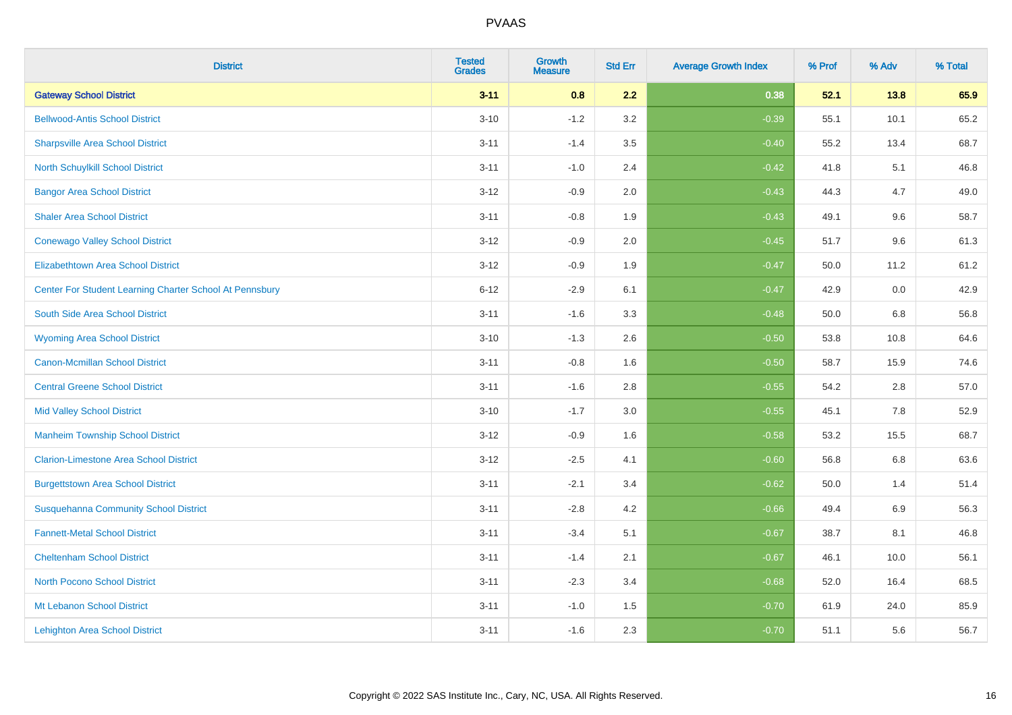| <b>District</b>                                         | <b>Tested</b><br><b>Grades</b> | <b>Growth</b><br><b>Measure</b> | <b>Std Err</b> | <b>Average Growth Index</b> | % Prof | % Adv   | % Total |
|---------------------------------------------------------|--------------------------------|---------------------------------|----------------|-----------------------------|--------|---------|---------|
| <b>Gateway School District</b>                          | $3 - 11$                       | 0.8                             | 2.2            | 0.38                        | 52.1   | 13.8    | 65.9    |
| <b>Bellwood-Antis School District</b>                   | $3 - 10$                       | $-1.2$                          | 3.2            | $-0.39$                     | 55.1   | 10.1    | 65.2    |
| <b>Sharpsville Area School District</b>                 | $3 - 11$                       | $-1.4$                          | 3.5            | $-0.40$                     | 55.2   | 13.4    | 68.7    |
| North Schuylkill School District                        | $3 - 11$                       | $-1.0$                          | 2.4            | $-0.42$                     | 41.8   | 5.1     | 46.8    |
| <b>Bangor Area School District</b>                      | $3 - 12$                       | $-0.9$                          | 2.0            | $-0.43$                     | 44.3   | 4.7     | 49.0    |
| <b>Shaler Area School District</b>                      | $3 - 11$                       | $-0.8$                          | 1.9            | $-0.43$                     | 49.1   | 9.6     | 58.7    |
| <b>Conewago Valley School District</b>                  | $3 - 12$                       | $-0.9$                          | 2.0            | $-0.45$                     | 51.7   | 9.6     | 61.3    |
| <b>Elizabethtown Area School District</b>               | $3 - 12$                       | $-0.9$                          | 1.9            | $-0.47$                     | 50.0   | 11.2    | 61.2    |
| Center For Student Learning Charter School At Pennsbury | $6 - 12$                       | $-2.9$                          | 6.1            | $-0.47$                     | 42.9   | 0.0     | 42.9    |
| South Side Area School District                         | $3 - 11$                       | $-1.6$                          | 3.3            | $-0.48$                     | 50.0   | 6.8     | 56.8    |
| <b>Wyoming Area School District</b>                     | $3 - 10$                       | $-1.3$                          | 2.6            | $-0.50$                     | 53.8   | 10.8    | 64.6    |
| <b>Canon-Mcmillan School District</b>                   | $3 - 11$                       | $-0.8$                          | 1.6            | $-0.50$                     | 58.7   | 15.9    | 74.6    |
| <b>Central Greene School District</b>                   | $3 - 11$                       | $-1.6$                          | 2.8            | $-0.55$                     | 54.2   | $2.8\,$ | 57.0    |
| <b>Mid Valley School District</b>                       | $3 - 10$                       | $-1.7$                          | 3.0            | $-0.55$                     | 45.1   | 7.8     | 52.9    |
| <b>Manheim Township School District</b>                 | $3 - 12$                       | $-0.9$                          | 1.6            | $-0.58$                     | 53.2   | 15.5    | 68.7    |
| <b>Clarion-Limestone Area School District</b>           | $3 - 12$                       | $-2.5$                          | 4.1            | $-0.60$                     | 56.8   | $6.8\,$ | 63.6    |
| <b>Burgettstown Area School District</b>                | $3 - 11$                       | $-2.1$                          | 3.4            | $-0.62$                     | 50.0   | 1.4     | 51.4    |
| <b>Susquehanna Community School District</b>            | $3 - 11$                       | $-2.8$                          | 4.2            | $-0.66$                     | 49.4   | 6.9     | 56.3    |
| <b>Fannett-Metal School District</b>                    | $3 - 11$                       | $-3.4$                          | 5.1            | $-0.67$                     | 38.7   | 8.1     | 46.8    |
| <b>Cheltenham School District</b>                       | $3 - 11$                       | $-1.4$                          | 2.1            | $-0.67$                     | 46.1   | 10.0    | 56.1    |
| <b>North Pocono School District</b>                     | $3 - 11$                       | $-2.3$                          | 3.4            | $-0.68$                     | 52.0   | 16.4    | 68.5    |
| Mt Lebanon School District                              | $3 - 11$                       | $-1.0$                          | 1.5            | $-0.70$                     | 61.9   | 24.0    | 85.9    |
| <b>Lehighton Area School District</b>                   | $3 - 11$                       | $-1.6$                          | 2.3            | $-0.70$                     | 51.1   | 5.6     | 56.7    |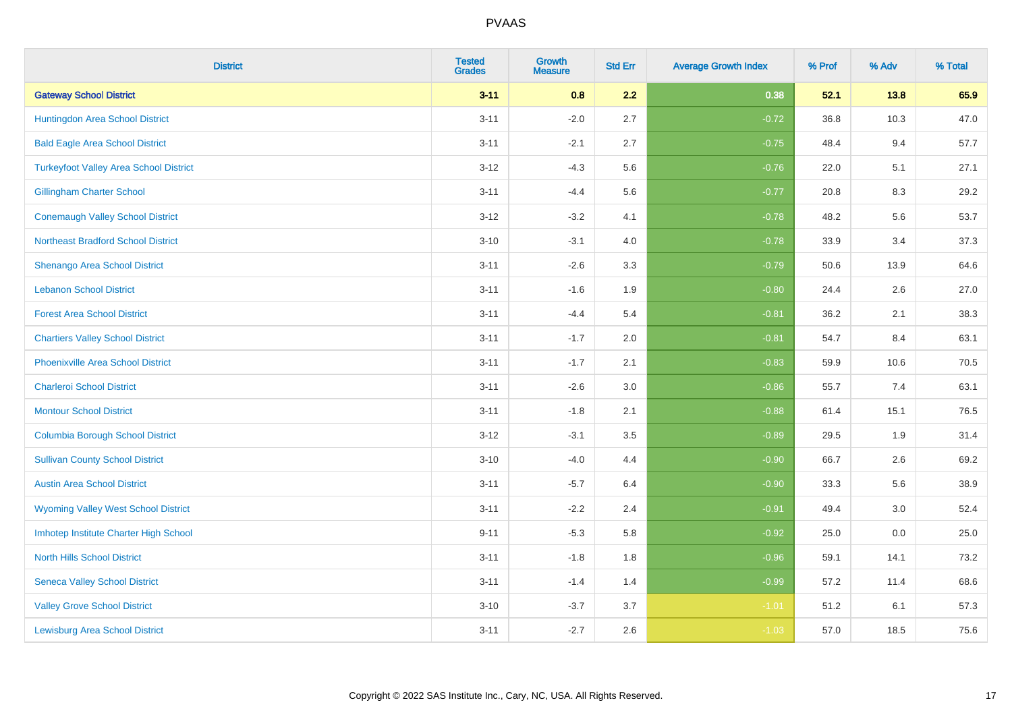| <b>District</b>                               | <b>Tested</b><br><b>Grades</b> | <b>Growth</b><br><b>Measure</b> | <b>Std Err</b> | <b>Average Growth Index</b> | % Prof | % Adv | % Total |
|-----------------------------------------------|--------------------------------|---------------------------------|----------------|-----------------------------|--------|-------|---------|
| <b>Gateway School District</b>                | $3 - 11$                       | 0.8                             | 2.2            | 0.38                        | 52.1   | 13.8  | 65.9    |
| Huntingdon Area School District               | $3 - 11$                       | $-2.0$                          | 2.7            | $-0.72$                     | 36.8   | 10.3  | 47.0    |
| <b>Bald Eagle Area School District</b>        | $3 - 11$                       | $-2.1$                          | 2.7            | $-0.75$                     | 48.4   | 9.4   | 57.7    |
| <b>Turkeyfoot Valley Area School District</b> | $3 - 12$                       | $-4.3$                          | 5.6            | $-0.76$                     | 22.0   | 5.1   | 27.1    |
| <b>Gillingham Charter School</b>              | $3 - 11$                       | $-4.4$                          | 5.6            | $-0.77$                     | 20.8   | 8.3   | 29.2    |
| <b>Conemaugh Valley School District</b>       | $3-12$                         | $-3.2$                          | 4.1            | $-0.78$                     | 48.2   | 5.6   | 53.7    |
| <b>Northeast Bradford School District</b>     | $3 - 10$                       | $-3.1$                          | 4.0            | $-0.78$                     | 33.9   | 3.4   | 37.3    |
| <b>Shenango Area School District</b>          | $3 - 11$                       | $-2.6$                          | 3.3            | $-0.79$                     | 50.6   | 13.9  | 64.6    |
| <b>Lebanon School District</b>                | $3 - 11$                       | $-1.6$                          | 1.9            | $-0.80$                     | 24.4   | 2.6   | 27.0    |
| <b>Forest Area School District</b>            | $3 - 11$                       | $-4.4$                          | 5.4            | $-0.81$                     | 36.2   | 2.1   | 38.3    |
| <b>Chartiers Valley School District</b>       | $3 - 11$                       | $-1.7$                          | 2.0            | $-0.81$                     | 54.7   | 8.4   | 63.1    |
| <b>Phoenixville Area School District</b>      | $3 - 11$                       | $-1.7$                          | 2.1            | $-0.83$                     | 59.9   | 10.6  | 70.5    |
| <b>Charleroi School District</b>              | $3 - 11$                       | $-2.6$                          | 3.0            | $-0.86$                     | 55.7   | $7.4$ | 63.1    |
| <b>Montour School District</b>                | $3 - 11$                       | $-1.8$                          | 2.1            | $-0.88$                     | 61.4   | 15.1  | 76.5    |
| <b>Columbia Borough School District</b>       | $3 - 12$                       | $-3.1$                          | 3.5            | $-0.89$                     | 29.5   | 1.9   | 31.4    |
| <b>Sullivan County School District</b>        | $3 - 10$                       | $-4.0$                          | 4.4            | $-0.90$                     | 66.7   | 2.6   | 69.2    |
| <b>Austin Area School District</b>            | $3 - 11$                       | $-5.7$                          | 6.4            | $-0.90$                     | 33.3   | 5.6   | 38.9    |
| <b>Wyoming Valley West School District</b>    | $3 - 11$                       | $-2.2$                          | 2.4            | $-0.91$                     | 49.4   | 3.0   | 52.4    |
| Imhotep Institute Charter High School         | $9 - 11$                       | $-5.3$                          | 5.8            | $-0.92$                     | 25.0   | 0.0   | 25.0    |
| <b>North Hills School District</b>            | $3 - 11$                       | $-1.8$                          | 1.8            | $-0.96$                     | 59.1   | 14.1  | 73.2    |
| <b>Seneca Valley School District</b>          | $3 - 11$                       | $-1.4$                          | 1.4            | $-0.99$                     | 57.2   | 11.4  | 68.6    |
| <b>Valley Grove School District</b>           | $3 - 10$                       | $-3.7$                          | 3.7            | $-1.01$                     | 51.2   | 6.1   | 57.3    |
| <b>Lewisburg Area School District</b>         | $3 - 11$                       | $-2.7$                          | 2.6            | $-1.03$                     | 57.0   | 18.5  | 75.6    |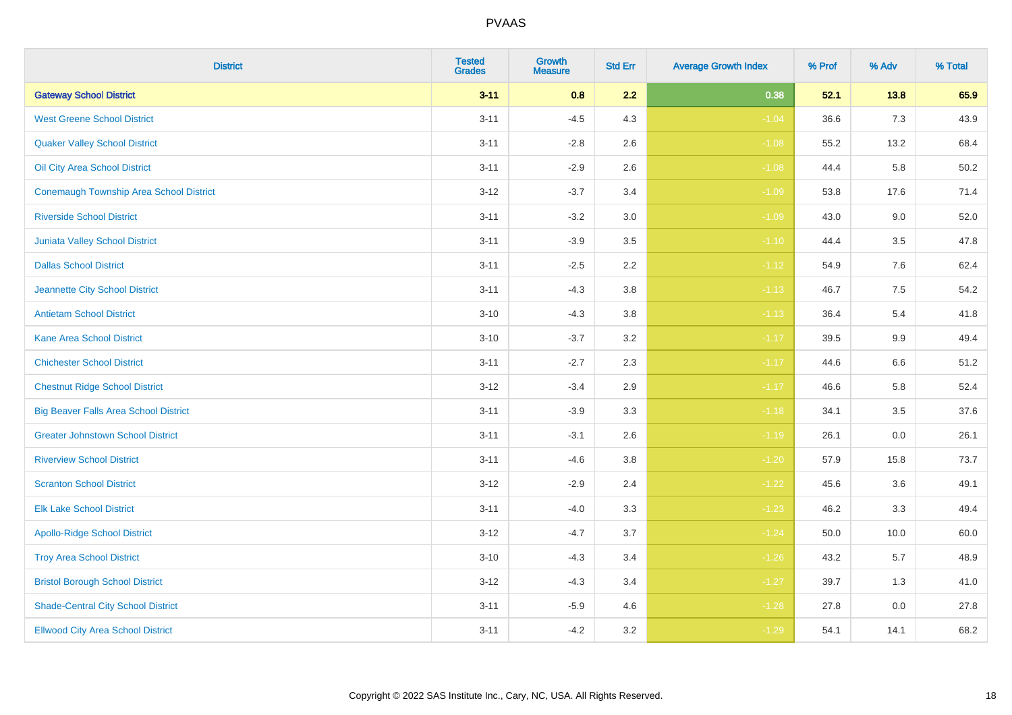| <b>District</b>                              | <b>Tested</b><br><b>Grades</b> | <b>Growth</b><br><b>Measure</b> | <b>Std Err</b> | <b>Average Growth Index</b> | % Prof | % Adv   | % Total |
|----------------------------------------------|--------------------------------|---------------------------------|----------------|-----------------------------|--------|---------|---------|
| <b>Gateway School District</b>               | $3 - 11$                       | 0.8                             | 2.2            | 0.38                        | 52.1   | 13.8    | 65.9    |
| <b>West Greene School District</b>           | $3 - 11$                       | $-4.5$                          | 4.3            | $-1.04$                     | 36.6   | 7.3     | 43.9    |
| <b>Quaker Valley School District</b>         | $3 - 11$                       | $-2.8$                          | 2.6            | $-1.08$                     | 55.2   | 13.2    | 68.4    |
| Oil City Area School District                | $3 - 11$                       | $-2.9$                          | 2.6            | $-1.08$                     | 44.4   | 5.8     | 50.2    |
| Conemaugh Township Area School District      | $3 - 12$                       | $-3.7$                          | 3.4            | $-1.09$                     | 53.8   | 17.6    | 71.4    |
| <b>Riverside School District</b>             | $3 - 11$                       | $-3.2$                          | 3.0            | $-1.09$                     | 43.0   | 9.0     | 52.0    |
| <b>Juniata Valley School District</b>        | $3 - 11$                       | $-3.9$                          | 3.5            | $-1.10$                     | 44.4   | 3.5     | 47.8    |
| <b>Dallas School District</b>                | $3 - 11$                       | $-2.5$                          | 2.2            | $-1.12$                     | 54.9   | 7.6     | 62.4    |
| Jeannette City School District               | $3 - 11$                       | $-4.3$                          | 3.8            | $-1.13$                     | 46.7   | 7.5     | 54.2    |
| <b>Antietam School District</b>              | $3 - 10$                       | $-4.3$                          | 3.8            | $-1.13$                     | 36.4   | 5.4     | 41.8    |
| <b>Kane Area School District</b>             | $3 - 10$                       | $-3.7$                          | 3.2            | $-1.17$                     | 39.5   | $9.9\,$ | 49.4    |
| <b>Chichester School District</b>            | $3 - 11$                       | $-2.7$                          | 2.3            | $-1.17$                     | 44.6   | $6.6\,$ | 51.2    |
| <b>Chestnut Ridge School District</b>        | $3 - 12$                       | $-3.4$                          | 2.9            | $-1.17$                     | 46.6   | 5.8     | 52.4    |
| <b>Big Beaver Falls Area School District</b> | $3 - 11$                       | $-3.9$                          | 3.3            | $-1.18$                     | 34.1   | 3.5     | 37.6    |
| <b>Greater Johnstown School District</b>     | $3 - 11$                       | $-3.1$                          | 2.6            | $-1.19$                     | 26.1   | 0.0     | 26.1    |
| <b>Riverview School District</b>             | $3 - 11$                       | $-4.6$                          | 3.8            | $-1.20$                     | 57.9   | 15.8    | 73.7    |
| <b>Scranton School District</b>              | $3 - 12$                       | $-2.9$                          | 2.4            | $-1.22$                     | 45.6   | 3.6     | 49.1    |
| <b>Elk Lake School District</b>              | $3 - 11$                       | $-4.0$                          | 3.3            | $-1.23$                     | 46.2   | 3.3     | 49.4    |
| <b>Apollo-Ridge School District</b>          | $3 - 12$                       | $-4.7$                          | 3.7            | $-1.24$                     | 50.0   | 10.0    | 60.0    |
| <b>Troy Area School District</b>             | $3 - 10$                       | $-4.3$                          | 3.4            | $-1.26$                     | 43.2   | 5.7     | 48.9    |
| <b>Bristol Borough School District</b>       | $3 - 12$                       | $-4.3$                          | 3.4            | $-1.27$                     | 39.7   | 1.3     | 41.0    |
| <b>Shade-Central City School District</b>    | $3 - 11$                       | $-5.9$                          | 4.6            | $-1.28$                     | 27.8   | 0.0     | 27.8    |
| <b>Ellwood City Area School District</b>     | $3 - 11$                       | $-4.2$                          | 3.2            | $-1.29$                     | 54.1   | 14.1    | 68.2    |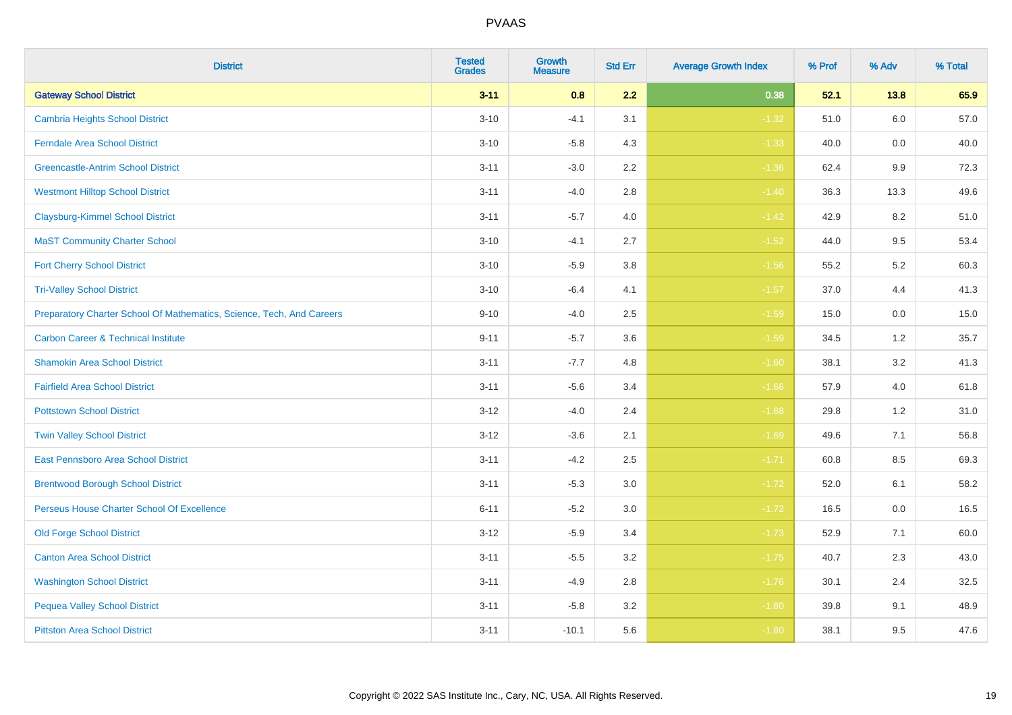| <b>District</b>                                                       | <b>Tested</b><br><b>Grades</b> | <b>Growth</b><br><b>Measure</b> | <b>Std Err</b> | <b>Average Growth Index</b> | % Prof | % Adv   | % Total |
|-----------------------------------------------------------------------|--------------------------------|---------------------------------|----------------|-----------------------------|--------|---------|---------|
| <b>Gateway School District</b>                                        | $3 - 11$                       | 0.8                             | 2.2            | 0.38                        | 52.1   | 13.8    | 65.9    |
| <b>Cambria Heights School District</b>                                | $3 - 10$                       | $-4.1$                          | 3.1            | $-1.32$                     | 51.0   | 6.0     | 57.0    |
| <b>Ferndale Area School District</b>                                  | $3 - 10$                       | $-5.8$                          | 4.3            | $-1.33$                     | 40.0   | 0.0     | 40.0    |
| <b>Greencastle-Antrim School District</b>                             | $3 - 11$                       | $-3.0$                          | $2.2\,$        | $-1.36$                     | 62.4   | $9.9\,$ | 72.3    |
| <b>Westmont Hilltop School District</b>                               | $3 - 11$                       | $-4.0$                          | 2.8            | $-1.40$                     | 36.3   | 13.3    | 49.6    |
| <b>Claysburg-Kimmel School District</b>                               | $3 - 11$                       | $-5.7$                          | 4.0            | $-1.42$                     | 42.9   | 8.2     | 51.0    |
| <b>MaST Community Charter School</b>                                  | $3 - 10$                       | $-4.1$                          | 2.7            | $-1.52$                     | 44.0   | 9.5     | 53.4    |
| <b>Fort Cherry School District</b>                                    | $3 - 10$                       | $-5.9$                          | 3.8            | $-1.56$                     | 55.2   | 5.2     | 60.3    |
| <b>Tri-Valley School District</b>                                     | $3 - 10$                       | $-6.4$                          | 4.1            | $-1.57$                     | 37.0   | 4.4     | 41.3    |
| Preparatory Charter School Of Mathematics, Science, Tech, And Careers | $9 - 10$                       | $-4.0$                          | $2.5\,$        | $-1.59$                     | 15.0   | 0.0     | 15.0    |
| <b>Carbon Career &amp; Technical Institute</b>                        | $9 - 11$                       | $-5.7$                          | 3.6            | $-1.59$                     | 34.5   | 1.2     | 35.7    |
| <b>Shamokin Area School District</b>                                  | $3 - 11$                       | $-7.7$                          | 4.8            | $-1.60$                     | 38.1   | 3.2     | 41.3    |
| <b>Fairfield Area School District</b>                                 | $3 - 11$                       | $-5.6$                          | 3.4            | $-1.66$                     | 57.9   | 4.0     | 61.8    |
| <b>Pottstown School District</b>                                      | $3 - 12$                       | $-4.0$                          | 2.4            | $-1.68$                     | 29.8   | 1.2     | 31.0    |
| <b>Twin Valley School District</b>                                    | $3 - 12$                       | $-3.6$                          | 2.1            | $-1.69$                     | 49.6   | 7.1     | 56.8    |
| <b>East Pennsboro Area School District</b>                            | $3 - 11$                       | $-4.2$                          | 2.5            | $-1.71$                     | 60.8   | 8.5     | 69.3    |
| <b>Brentwood Borough School District</b>                              | $3 - 11$                       | $-5.3$                          | 3.0            | $-1.72$                     | 52.0   | 6.1     | 58.2    |
| Perseus House Charter School Of Excellence                            | $6 - 11$                       | $-5.2$                          | 3.0            | $-1.72$                     | 16.5   | 0.0     | 16.5    |
| <b>Old Forge School District</b>                                      | $3 - 12$                       | $-5.9$                          | 3.4            | $-1.73$                     | 52.9   | 7.1     | 60.0    |
| <b>Canton Area School District</b>                                    | $3 - 11$                       | $-5.5$                          | 3.2            | $-1.75$                     | 40.7   | 2.3     | 43.0    |
| <b>Washington School District</b>                                     | $3 - 11$                       | $-4.9$                          | 2.8            | $-1.76$                     | 30.1   | 2.4     | 32.5    |
| <b>Pequea Valley School District</b>                                  | $3 - 11$                       | $-5.8$                          | 3.2            | $-1.80$                     | 39.8   | 9.1     | 48.9    |
| <b>Pittston Area School District</b>                                  | $3 - 11$                       | $-10.1$                         | 5.6            | $-1.80$                     | 38.1   | 9.5     | 47.6    |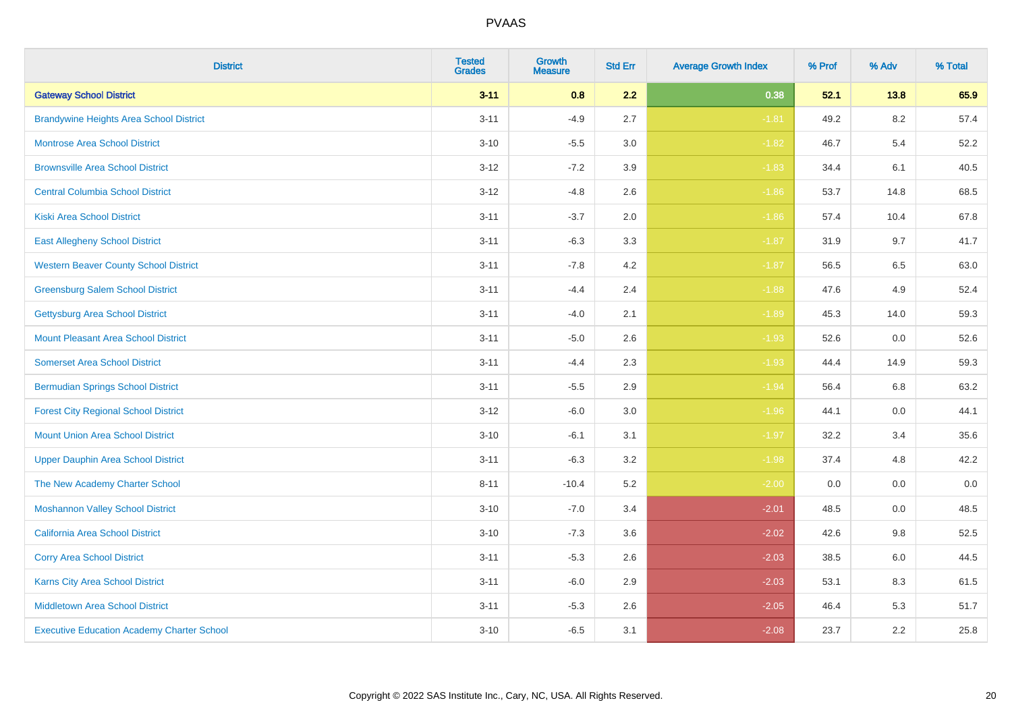| <b>District</b>                                   | <b>Tested</b><br><b>Grades</b> | <b>Growth</b><br><b>Measure</b> | <b>Std Err</b> | <b>Average Growth Index</b> | % Prof | % Adv | % Total |
|---------------------------------------------------|--------------------------------|---------------------------------|----------------|-----------------------------|--------|-------|---------|
| <b>Gateway School District</b>                    | $3 - 11$                       | 0.8                             | 2.2            | 0.38                        | 52.1   | 13.8  | 65.9    |
| <b>Brandywine Heights Area School District</b>    | $3 - 11$                       | $-4.9$                          | 2.7            | $-1.81$                     | 49.2   | 8.2   | 57.4    |
| <b>Montrose Area School District</b>              | $3 - 10$                       | $-5.5$                          | 3.0            | $-1.82$                     | 46.7   | 5.4   | 52.2    |
| <b>Brownsville Area School District</b>           | $3 - 12$                       | $-7.2$                          | 3.9            | $-1.83$                     | 34.4   | 6.1   | 40.5    |
| <b>Central Columbia School District</b>           | $3 - 12$                       | $-4.8$                          | 2.6            | $-1.86$                     | 53.7   | 14.8  | 68.5    |
| <b>Kiski Area School District</b>                 | $3 - 11$                       | $-3.7$                          | 2.0            | $-1.86$                     | 57.4   | 10.4  | 67.8    |
| <b>East Allegheny School District</b>             | $3 - 11$                       | $-6.3$                          | 3.3            | $-1.87$                     | 31.9   | 9.7   | 41.7    |
| <b>Western Beaver County School District</b>      | $3 - 11$                       | $-7.8$                          | 4.2            | $-1.87$                     | 56.5   | 6.5   | 63.0    |
| <b>Greensburg Salem School District</b>           | $3 - 11$                       | $-4.4$                          | 2.4            | $-1.88$                     | 47.6   | 4.9   | 52.4    |
| <b>Gettysburg Area School District</b>            | $3 - 11$                       | $-4.0$                          | 2.1            | $-1.89$                     | 45.3   | 14.0  | 59.3    |
| <b>Mount Pleasant Area School District</b>        | $3 - 11$                       | $-5.0$                          | 2.6            | $-1.93$                     | 52.6   | 0.0   | 52.6    |
| <b>Somerset Area School District</b>              | $3 - 11$                       | $-4.4$                          | 2.3            | $-1.93$                     | 44.4   | 14.9  | 59.3    |
| <b>Bermudian Springs School District</b>          | $3 - 11$                       | $-5.5$                          | 2.9            | $-1.94$                     | 56.4   | 6.8   | 63.2    |
| <b>Forest City Regional School District</b>       | $3 - 12$                       | $-6.0$                          | 3.0            | $-1.96$                     | 44.1   | 0.0   | 44.1    |
| <b>Mount Union Area School District</b>           | $3 - 10$                       | $-6.1$                          | 3.1            | $-1.97$                     | 32.2   | 3.4   | 35.6    |
| <b>Upper Dauphin Area School District</b>         | $3 - 11$                       | $-6.3$                          | 3.2            | $-1.98$                     | 37.4   | 4.8   | 42.2    |
| The New Academy Charter School                    | $8 - 11$                       | $-10.4$                         | 5.2            | $-2.00$                     | 0.0    | 0.0   | $0.0\,$ |
| <b>Moshannon Valley School District</b>           | $3 - 10$                       | $-7.0$                          | 3.4            | $-2.01$                     | 48.5   | 0.0   | 48.5    |
| <b>California Area School District</b>            | $3 - 10$                       | $-7.3$                          | 3.6            | $-2.02$                     | 42.6   | 9.8   | 52.5    |
| <b>Corry Area School District</b>                 | $3 - 11$                       | $-5.3$                          | 2.6            | $-2.03$                     | 38.5   | 6.0   | 44.5    |
| <b>Karns City Area School District</b>            | $3 - 11$                       | $-6.0$                          | 2.9            | $-2.03$                     | 53.1   | 8.3   | 61.5    |
| <b>Middletown Area School District</b>            | $3 - 11$                       | $-5.3$                          | 2.6            | $-2.05$                     | 46.4   | 5.3   | 51.7    |
| <b>Executive Education Academy Charter School</b> | $3 - 10$                       | $-6.5$                          | 3.1            | $-2.08$                     | 23.7   | 2.2   | 25.8    |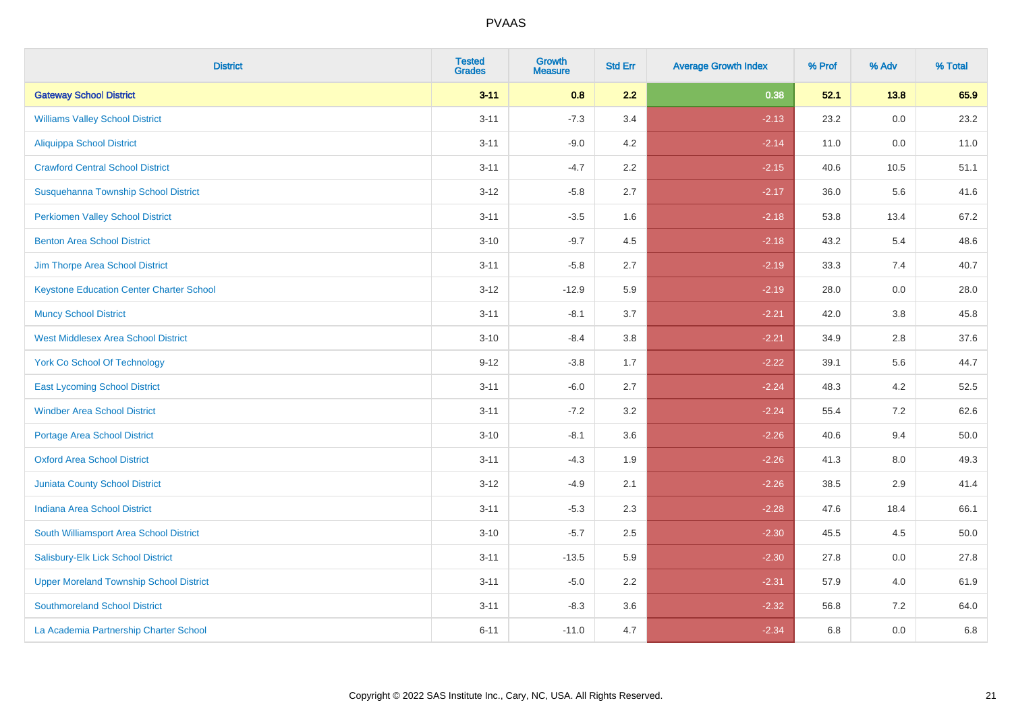| <b>District</b>                                 | <b>Tested</b><br><b>Grades</b> | <b>Growth</b><br><b>Measure</b> | <b>Std Err</b> | <b>Average Growth Index</b> | % Prof | % Adv | % Total |
|-------------------------------------------------|--------------------------------|---------------------------------|----------------|-----------------------------|--------|-------|---------|
| <b>Gateway School District</b>                  | $3 - 11$                       | 0.8                             | 2.2            | 0.38                        | 52.1   | 13.8  | 65.9    |
| <b>Williams Valley School District</b>          | $3 - 11$                       | $-7.3$                          | 3.4            | $-2.13$                     | 23.2   | 0.0   | 23.2    |
| Aliquippa School District                       | $3 - 11$                       | $-9.0$                          | 4.2            | $-2.14$                     | 11.0   | 0.0   | 11.0    |
| <b>Crawford Central School District</b>         | $3 - 11$                       | $-4.7$                          | 2.2            | $-2.15$                     | 40.6   | 10.5  | 51.1    |
| Susquehanna Township School District            | $3 - 12$                       | $-5.8$                          | 2.7            | $-2.17$                     | 36.0   | 5.6   | 41.6    |
| <b>Perkiomen Valley School District</b>         | $3 - 11$                       | $-3.5$                          | 1.6            | $-2.18$                     | 53.8   | 13.4  | 67.2    |
| <b>Benton Area School District</b>              | $3 - 10$                       | $-9.7$                          | 4.5            | $-2.18$                     | 43.2   | 5.4   | 48.6    |
| Jim Thorpe Area School District                 | $3 - 11$                       | $-5.8$                          | 2.7            | $-2.19$                     | 33.3   | 7.4   | 40.7    |
| <b>Keystone Education Center Charter School</b> | $3 - 12$                       | $-12.9$                         | 5.9            | $-2.19$                     | 28.0   | 0.0   | 28.0    |
| <b>Muncy School District</b>                    | $3 - 11$                       | $-8.1$                          | 3.7            | $-2.21$                     | 42.0   | 3.8   | 45.8    |
| <b>West Middlesex Area School District</b>      | $3 - 10$                       | $-8.4$                          | 3.8            | $-2.21$                     | 34.9   | 2.8   | 37.6    |
| <b>York Co School Of Technology</b>             | $9 - 12$                       | $-3.8$                          | 1.7            | $-2.22$                     | 39.1   | 5.6   | 44.7    |
| <b>East Lycoming School District</b>            | $3 - 11$                       | $-6.0$                          | 2.7            | $-2.24$                     | 48.3   | 4.2   | 52.5    |
| <b>Windber Area School District</b>             | $3 - 11$                       | $-7.2$                          | 3.2            | $-2.24$                     | 55.4   | 7.2   | 62.6    |
| <b>Portage Area School District</b>             | $3 - 10$                       | $-8.1$                          | 3.6            | $-2.26$                     | 40.6   | 9.4   | 50.0    |
| <b>Oxford Area School District</b>              | $3 - 11$                       | $-4.3$                          | 1.9            | $-2.26$                     | 41.3   | 8.0   | 49.3    |
| <b>Juniata County School District</b>           | $3 - 12$                       | $-4.9$                          | 2.1            | $-2.26$                     | 38.5   | 2.9   | 41.4    |
| <b>Indiana Area School District</b>             | $3 - 11$                       | $-5.3$                          | 2.3            | $-2.28$                     | 47.6   | 18.4  | 66.1    |
| South Williamsport Area School District         | $3 - 10$                       | $-5.7$                          | 2.5            | $-2.30$                     | 45.5   | 4.5   | 50.0    |
| Salisbury-Elk Lick School District              | $3 - 11$                       | $-13.5$                         | 5.9            | $-2.30$                     | 27.8   | 0.0   | 27.8    |
| <b>Upper Moreland Township School District</b>  | $3 - 11$                       | $-5.0$                          | 2.2            | $-2.31$                     | 57.9   | 4.0   | 61.9    |
| <b>Southmoreland School District</b>            | $3 - 11$                       | $-8.3$                          | 3.6            | $-2.32$                     | 56.8   | 7.2   | 64.0    |
| La Academia Partnership Charter School          | $6 - 11$                       | $-11.0$                         | 4.7            | $-2.34$                     | 6.8    | 0.0   | 6.8     |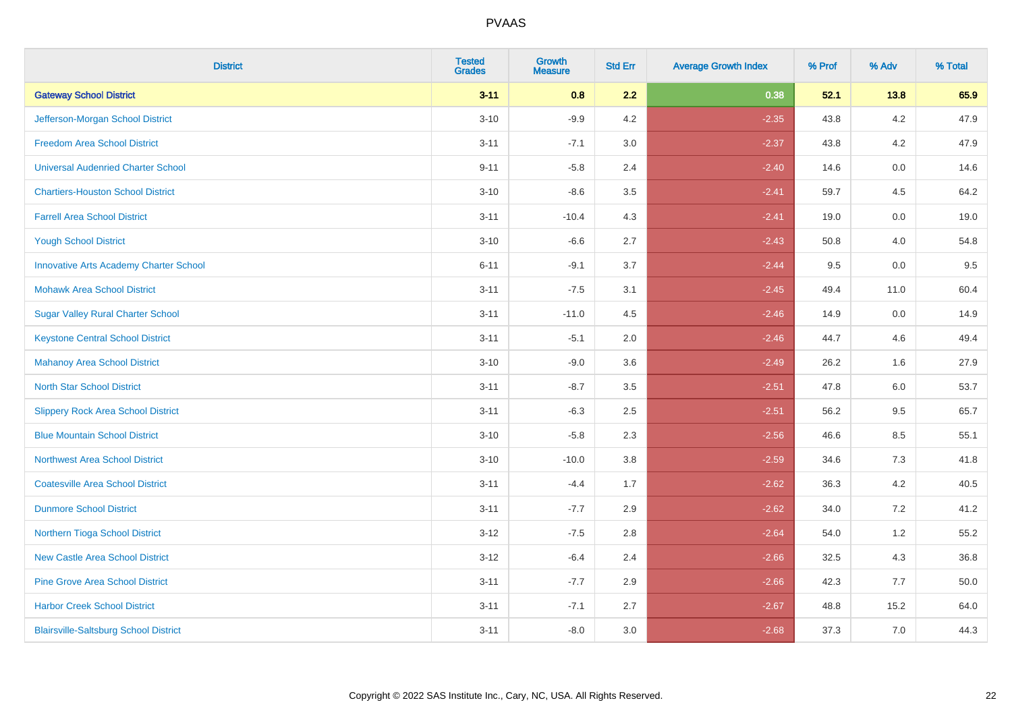| <b>District</b>                               | <b>Tested</b><br><b>Grades</b> | <b>Growth</b><br><b>Measure</b> | <b>Std Err</b> | <b>Average Growth Index</b> | % Prof | % Adv   | % Total |
|-----------------------------------------------|--------------------------------|---------------------------------|----------------|-----------------------------|--------|---------|---------|
| <b>Gateway School District</b>                | $3 - 11$                       | 0.8                             | 2.2            | 0.38                        | 52.1   | 13.8    | 65.9    |
| Jefferson-Morgan School District              | $3 - 10$                       | $-9.9$                          | 4.2            | $-2.35$                     | 43.8   | $4.2\,$ | 47.9    |
| <b>Freedom Area School District</b>           | $3 - 11$                       | $-7.1$                          | 3.0            | $-2.37$                     | 43.8   | 4.2     | 47.9    |
| <b>Universal Audenried Charter School</b>     | $9 - 11$                       | $-5.8$                          | 2.4            | $-2.40$                     | 14.6   | 0.0     | 14.6    |
| <b>Chartiers-Houston School District</b>      | $3 - 10$                       | $-8.6$                          | 3.5            | $-2.41$                     | 59.7   | 4.5     | 64.2    |
| <b>Farrell Area School District</b>           | $3 - 11$                       | $-10.4$                         | 4.3            | $-2.41$                     | 19.0   | 0.0     | 19.0    |
| <b>Yough School District</b>                  | $3 - 10$                       | $-6.6$                          | 2.7            | $-2.43$                     | 50.8   | 4.0     | 54.8    |
| <b>Innovative Arts Academy Charter School</b> | $6 - 11$                       | $-9.1$                          | 3.7            | $-2.44$                     | 9.5    | 0.0     | 9.5     |
| <b>Mohawk Area School District</b>            | $3 - 11$                       | $-7.5$                          | 3.1            | $-2.45$                     | 49.4   | 11.0    | 60.4    |
| <b>Sugar Valley Rural Charter School</b>      | $3 - 11$                       | $-11.0$                         | 4.5            | $-2.46$                     | 14.9   | 0.0     | 14.9    |
| <b>Keystone Central School District</b>       | $3 - 11$                       | $-5.1$                          | 2.0            | $-2.46$                     | 44.7   | 4.6     | 49.4    |
| <b>Mahanoy Area School District</b>           | $3 - 10$                       | $-9.0$                          | 3.6            | $-2.49$                     | 26.2   | 1.6     | 27.9    |
| <b>North Star School District</b>             | $3 - 11$                       | $-8.7$                          | 3.5            | $-2.51$                     | 47.8   | 6.0     | 53.7    |
| <b>Slippery Rock Area School District</b>     | $3 - 11$                       | $-6.3$                          | 2.5            | $-2.51$                     | 56.2   | 9.5     | 65.7    |
| <b>Blue Mountain School District</b>          | $3 - 10$                       | $-5.8$                          | 2.3            | $-2.56$                     | 46.6   | 8.5     | 55.1    |
| <b>Northwest Area School District</b>         | $3 - 10$                       | $-10.0$                         | 3.8            | $-2.59$                     | 34.6   | 7.3     | 41.8    |
| <b>Coatesville Area School District</b>       | $3 - 11$                       | $-4.4$                          | 1.7            | $-2.62$                     | 36.3   | 4.2     | 40.5    |
| <b>Dunmore School District</b>                | $3 - 11$                       | $-7.7$                          | 2.9            | $-2.62$                     | 34.0   | 7.2     | 41.2    |
| Northern Tioga School District                | $3 - 12$                       | $-7.5$                          | 2.8            | $-2.64$                     | 54.0   | 1.2     | 55.2    |
| <b>New Castle Area School District</b>        | $3 - 12$                       | $-6.4$                          | 2.4            | $-2.66$                     | 32.5   | 4.3     | 36.8    |
| <b>Pine Grove Area School District</b>        | $3 - 11$                       | $-7.7$                          | 2.9            | $-2.66$                     | 42.3   | 7.7     | 50.0    |
| <b>Harbor Creek School District</b>           | $3 - 11$                       | $-7.1$                          | 2.7            | $-2.67$                     | 48.8   | 15.2    | 64.0    |
| <b>Blairsville-Saltsburg School District</b>  | $3 - 11$                       | $-8.0$                          | 3.0            | $-2.68$                     | 37.3   | 7.0     | 44.3    |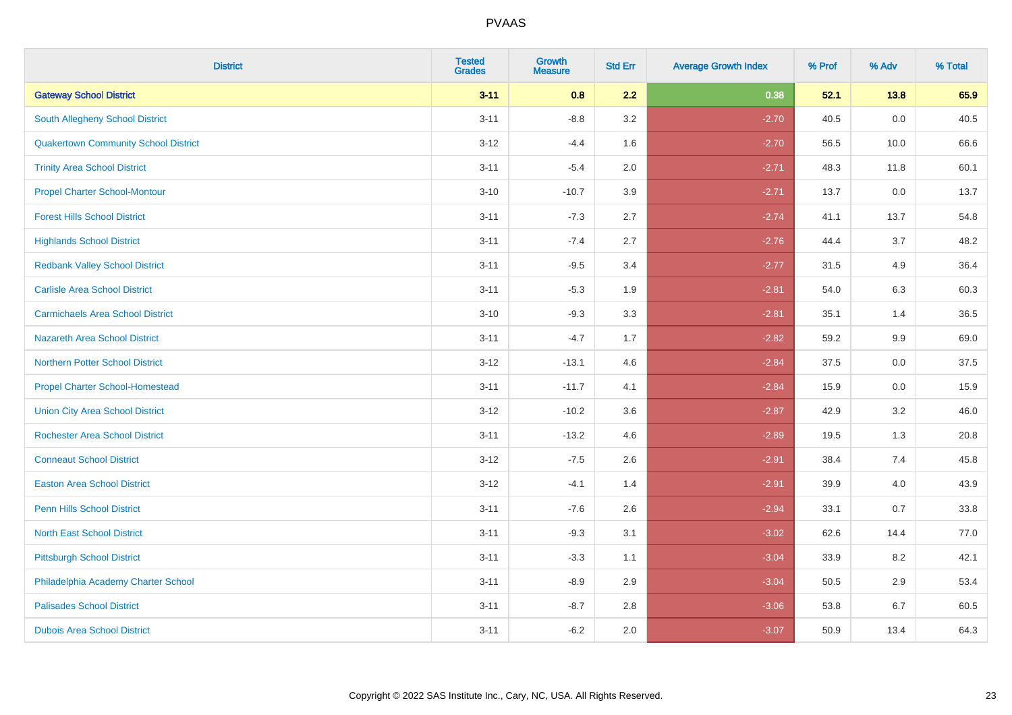| <b>District</b>                             | <b>Tested</b><br><b>Grades</b> | <b>Growth</b><br><b>Measure</b> | <b>Std Err</b> | <b>Average Growth Index</b> | % Prof | % Adv | % Total |
|---------------------------------------------|--------------------------------|---------------------------------|----------------|-----------------------------|--------|-------|---------|
| <b>Gateway School District</b>              | $3 - 11$                       | 0.8                             | 2.2            | 0.38                        | 52.1   | 13.8  | 65.9    |
| <b>South Allegheny School District</b>      | $3 - 11$                       | $-8.8$                          | 3.2            | $-2.70$                     | 40.5   | 0.0   | 40.5    |
| <b>Quakertown Community School District</b> | $3 - 12$                       | $-4.4$                          | 1.6            | $-2.70$                     | 56.5   | 10.0  | 66.6    |
| <b>Trinity Area School District</b>         | $3 - 11$                       | $-5.4$                          | 2.0            | $-2.71$                     | 48.3   | 11.8  | 60.1    |
| <b>Propel Charter School-Montour</b>        | $3 - 10$                       | $-10.7$                         | 3.9            | $-2.71$                     | 13.7   | 0.0   | 13.7    |
| <b>Forest Hills School District</b>         | $3 - 11$                       | $-7.3$                          | 2.7            | $-2.74$                     | 41.1   | 13.7  | 54.8    |
| <b>Highlands School District</b>            | $3 - 11$                       | $-7.4$                          | 2.7            | $-2.76$                     | 44.4   | 3.7   | 48.2    |
| <b>Redbank Valley School District</b>       | $3 - 11$                       | $-9.5$                          | 3.4            | $-2.77$                     | 31.5   | 4.9   | 36.4    |
| <b>Carlisle Area School District</b>        | $3 - 11$                       | $-5.3$                          | 1.9            | $-2.81$                     | 54.0   | 6.3   | 60.3    |
| <b>Carmichaels Area School District</b>     | $3 - 10$                       | $-9.3$                          | 3.3            | $-2.81$                     | 35.1   | 1.4   | 36.5    |
| Nazareth Area School District               | $3 - 11$                       | $-4.7$                          | 1.7            | $-2.82$                     | 59.2   | 9.9   | 69.0    |
| <b>Northern Potter School District</b>      | $3 - 12$                       | $-13.1$                         | 4.6            | $-2.84$                     | 37.5   | 0.0   | 37.5    |
| <b>Propel Charter School-Homestead</b>      | $3 - 11$                       | $-11.7$                         | 4.1            | $-2.84$                     | 15.9   | 0.0   | 15.9    |
| <b>Union City Area School District</b>      | $3-12$                         | $-10.2$                         | 3.6            | $-2.87$                     | 42.9   | 3.2   | 46.0    |
| <b>Rochester Area School District</b>       | $3 - 11$                       | $-13.2$                         | 4.6            | $-2.89$                     | 19.5   | 1.3   | 20.8    |
| <b>Conneaut School District</b>             | $3 - 12$                       | $-7.5$                          | 2.6            | $-2.91$                     | 38.4   | 7.4   | 45.8    |
| <b>Easton Area School District</b>          | $3 - 12$                       | $-4.1$                          | 1.4            | $-2.91$                     | 39.9   | 4.0   | 43.9    |
| <b>Penn Hills School District</b>           | $3 - 11$                       | $-7.6$                          | 2.6            | $-2.94$                     | 33.1   | 0.7   | 33.8    |
| <b>North East School District</b>           | $3 - 11$                       | $-9.3$                          | 3.1            | $-3.02$                     | 62.6   | 14.4  | 77.0    |
| <b>Pittsburgh School District</b>           | $3 - 11$                       | $-3.3$                          | 1.1            | $-3.04$                     | 33.9   | 8.2   | 42.1    |
| Philadelphia Academy Charter School         | $3 - 11$                       | $-8.9$                          | 2.9            | $-3.04$                     | 50.5   | 2.9   | 53.4    |
| <b>Palisades School District</b>            | $3 - 11$                       | $-8.7$                          | 2.8            | $-3.06$                     | 53.8   | 6.7   | 60.5    |
| <b>Dubois Area School District</b>          | $3 - 11$                       | $-6.2$                          | 2.0            | $-3.07$                     | 50.9   | 13.4  | 64.3    |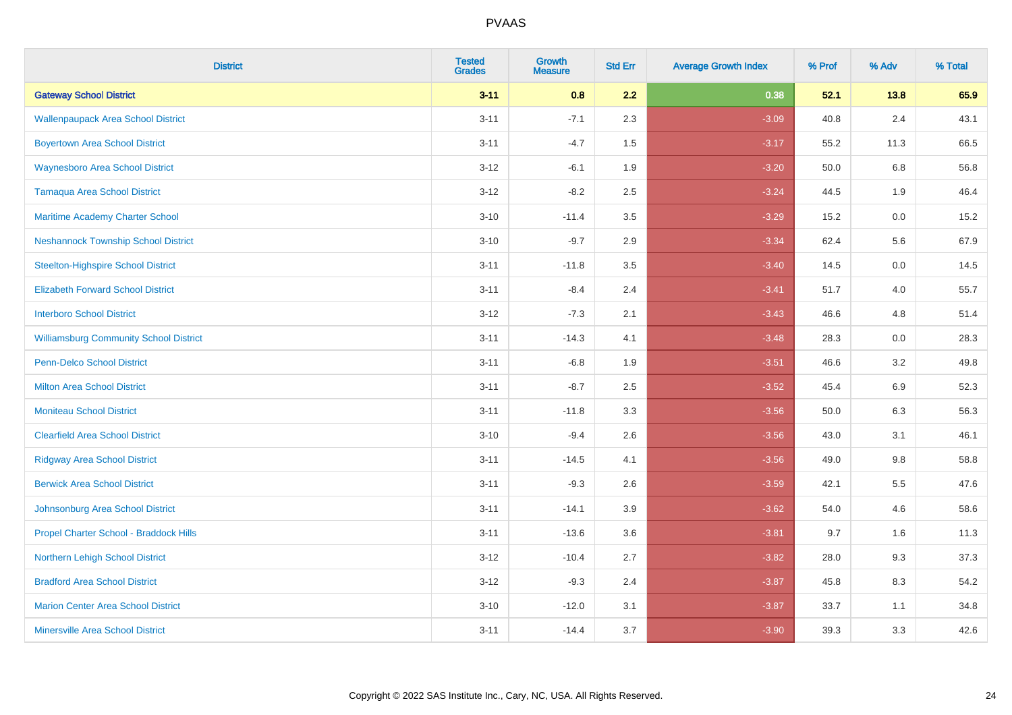| <b>District</b>                               | <b>Tested</b><br><b>Grades</b> | <b>Growth</b><br><b>Measure</b> | <b>Std Err</b> | <b>Average Growth Index</b> | % Prof | % Adv   | % Total |
|-----------------------------------------------|--------------------------------|---------------------------------|----------------|-----------------------------|--------|---------|---------|
| <b>Gateway School District</b>                | $3 - 11$                       | 0.8                             | 2.2            | 0.38                        | 52.1   | 13.8    | 65.9    |
| <b>Wallenpaupack Area School District</b>     | $3 - 11$                       | $-7.1$                          | 2.3            | $-3.09$                     | 40.8   | 2.4     | 43.1    |
| <b>Boyertown Area School District</b>         | $3 - 11$                       | $-4.7$                          | 1.5            | $-3.17$                     | 55.2   | 11.3    | 66.5    |
| <b>Waynesboro Area School District</b>        | $3-12$                         | $-6.1$                          | 1.9            | $-3.20$                     | 50.0   | 6.8     | 56.8    |
| <b>Tamaqua Area School District</b>           | $3 - 12$                       | $-8.2$                          | 2.5            | $-3.24$                     | 44.5   | 1.9     | 46.4    |
| Maritime Academy Charter School               | $3 - 10$                       | $-11.4$                         | 3.5            | $-3.29$                     | 15.2   | 0.0     | 15.2    |
| <b>Neshannock Township School District</b>    | $3 - 10$                       | $-9.7$                          | 2.9            | $-3.34$                     | 62.4   | 5.6     | 67.9    |
| <b>Steelton-Highspire School District</b>     | $3 - 11$                       | $-11.8$                         | 3.5            | $-3.40$                     | 14.5   | 0.0     | 14.5    |
| <b>Elizabeth Forward School District</b>      | $3 - 11$                       | $-8.4$                          | 2.4            | $-3.41$                     | 51.7   | 4.0     | 55.7    |
| <b>Interboro School District</b>              | $3 - 12$                       | $-7.3$                          | 2.1            | $-3.43$                     | 46.6   | 4.8     | 51.4    |
| <b>Williamsburg Community School District</b> | $3 - 11$                       | $-14.3$                         | 4.1            | $-3.48$                     | 28.3   | 0.0     | 28.3    |
| <b>Penn-Delco School District</b>             | $3 - 11$                       | $-6.8$                          | 1.9            | $-3.51$                     | 46.6   | 3.2     | 49.8    |
| <b>Milton Area School District</b>            | $3 - 11$                       | $-8.7$                          | 2.5            | $-3.52$                     | 45.4   | $6.9\,$ | 52.3    |
| <b>Moniteau School District</b>               | $3 - 11$                       | $-11.8$                         | 3.3            | $-3.56$                     | 50.0   | 6.3     | 56.3    |
| <b>Clearfield Area School District</b>        | $3 - 10$                       | $-9.4$                          | 2.6            | $-3.56$                     | 43.0   | 3.1     | 46.1    |
| <b>Ridgway Area School District</b>           | $3 - 11$                       | $-14.5$                         | 4.1            | $-3.56$                     | 49.0   | $9.8\,$ | 58.8    |
| <b>Berwick Area School District</b>           | $3 - 11$                       | $-9.3$                          | 2.6            | $-3.59$                     | 42.1   | 5.5     | 47.6    |
| Johnsonburg Area School District              | $3 - 11$                       | $-14.1$                         | 3.9            | $-3.62$                     | 54.0   | 4.6     | 58.6    |
| Propel Charter School - Braddock Hills        | $3 - 11$                       | $-13.6$                         | 3.6            | $-3.81$                     | 9.7    | 1.6     | 11.3    |
| Northern Lehigh School District               | $3 - 12$                       | $-10.4$                         | 2.7            | $-3.82$                     | 28.0   | 9.3     | 37.3    |
| <b>Bradford Area School District</b>          | $3 - 12$                       | $-9.3$                          | 2.4            | $-3.87$                     | 45.8   | 8.3     | 54.2    |
| <b>Marion Center Area School District</b>     | $3 - 10$                       | $-12.0$                         | 3.1            | $-3.87$                     | 33.7   | 1.1     | 34.8    |
| <b>Minersville Area School District</b>       | $3 - 11$                       | $-14.4$                         | 3.7            | $-3.90$                     | 39.3   | 3.3     | 42.6    |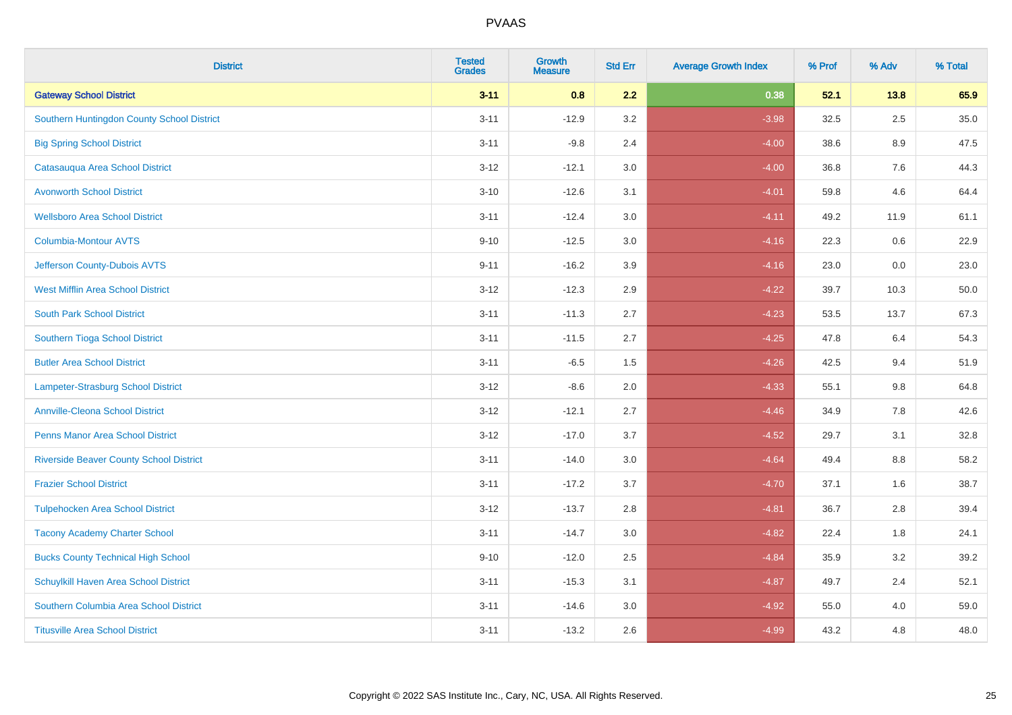| <b>District</b>                                | <b>Tested</b><br><b>Grades</b> | <b>Growth</b><br><b>Measure</b> | <b>Std Err</b> | <b>Average Growth Index</b> | % Prof | % Adv   | % Total |
|------------------------------------------------|--------------------------------|---------------------------------|----------------|-----------------------------|--------|---------|---------|
| <b>Gateway School District</b>                 | $3 - 11$                       | 0.8                             | 2.2            | 0.38                        | 52.1   | 13.8    | 65.9    |
| Southern Huntingdon County School District     | $3 - 11$                       | $-12.9$                         | 3.2            | $-3.98$                     | 32.5   | 2.5     | 35.0    |
| <b>Big Spring School District</b>              | $3 - 11$                       | $-9.8$                          | 2.4            | $-4.00$                     | 38.6   | 8.9     | 47.5    |
| Catasauqua Area School District                | $3 - 12$                       | $-12.1$                         | 3.0            | $-4.00$                     | 36.8   | $7.6\,$ | 44.3    |
| <b>Avonworth School District</b>               | $3 - 10$                       | $-12.6$                         | 3.1            | $-4.01$                     | 59.8   | 4.6     | 64.4    |
| <b>Wellsboro Area School District</b>          | $3 - 11$                       | $-12.4$                         | 3.0            | $-4.11$                     | 49.2   | 11.9    | 61.1    |
| <b>Columbia-Montour AVTS</b>                   | $9 - 10$                       | $-12.5$                         | 3.0            | $-4.16$                     | 22.3   | 0.6     | 22.9    |
| Jefferson County-Dubois AVTS                   | $9 - 11$                       | $-16.2$                         | 3.9            | $-4.16$                     | 23.0   | 0.0     | 23.0    |
| <b>West Mifflin Area School District</b>       | $3 - 12$                       | $-12.3$                         | 2.9            | $-4.22$                     | 39.7   | 10.3    | 50.0    |
| <b>South Park School District</b>              | $3 - 11$                       | $-11.3$                         | 2.7            | $-4.23$                     | 53.5   | 13.7    | 67.3    |
| Southern Tioga School District                 | $3 - 11$                       | $-11.5$                         | 2.7            | $-4.25$                     | 47.8   | 6.4     | 54.3    |
| <b>Butler Area School District</b>             | $3 - 11$                       | $-6.5$                          | 1.5            | $-4.26$                     | 42.5   | 9.4     | 51.9    |
| <b>Lampeter-Strasburg School District</b>      | $3 - 12$                       | $-8.6$                          | 2.0            | $-4.33$                     | 55.1   | 9.8     | 64.8    |
| <b>Annville-Cleona School District</b>         | $3 - 12$                       | $-12.1$                         | 2.7            | $-4.46$                     | 34.9   | $7.8\,$ | 42.6    |
| <b>Penns Manor Area School District</b>        | $3 - 12$                       | $-17.0$                         | 3.7            | $-4.52$                     | 29.7   | 3.1     | 32.8    |
| <b>Riverside Beaver County School District</b> | $3 - 11$                       | $-14.0$                         | 3.0            | $-4.64$                     | 49.4   | 8.8     | 58.2    |
| <b>Frazier School District</b>                 | $3 - 11$                       | $-17.2$                         | 3.7            | $-4.70$                     | 37.1   | 1.6     | 38.7    |
| <b>Tulpehocken Area School District</b>        | $3 - 12$                       | $-13.7$                         | 2.8            | $-4.81$                     | 36.7   | 2.8     | 39.4    |
| <b>Tacony Academy Charter School</b>           | $3 - 11$                       | $-14.7$                         | 3.0            | $-4.82$                     | 22.4   | 1.8     | 24.1    |
| <b>Bucks County Technical High School</b>      | $9 - 10$                       | $-12.0$                         | 2.5            | $-4.84$                     | 35.9   | 3.2     | 39.2    |
| Schuylkill Haven Area School District          | $3 - 11$                       | $-15.3$                         | 3.1            | $-4.87$                     | 49.7   | 2.4     | 52.1    |
| Southern Columbia Area School District         | $3 - 11$                       | $-14.6$                         | 3.0            | $-4.92$                     | 55.0   | 4.0     | 59.0    |
| <b>Titusville Area School District</b>         | $3 - 11$                       | $-13.2$                         | 2.6            | $-4.99$                     | 43.2   | 4.8     | 48.0    |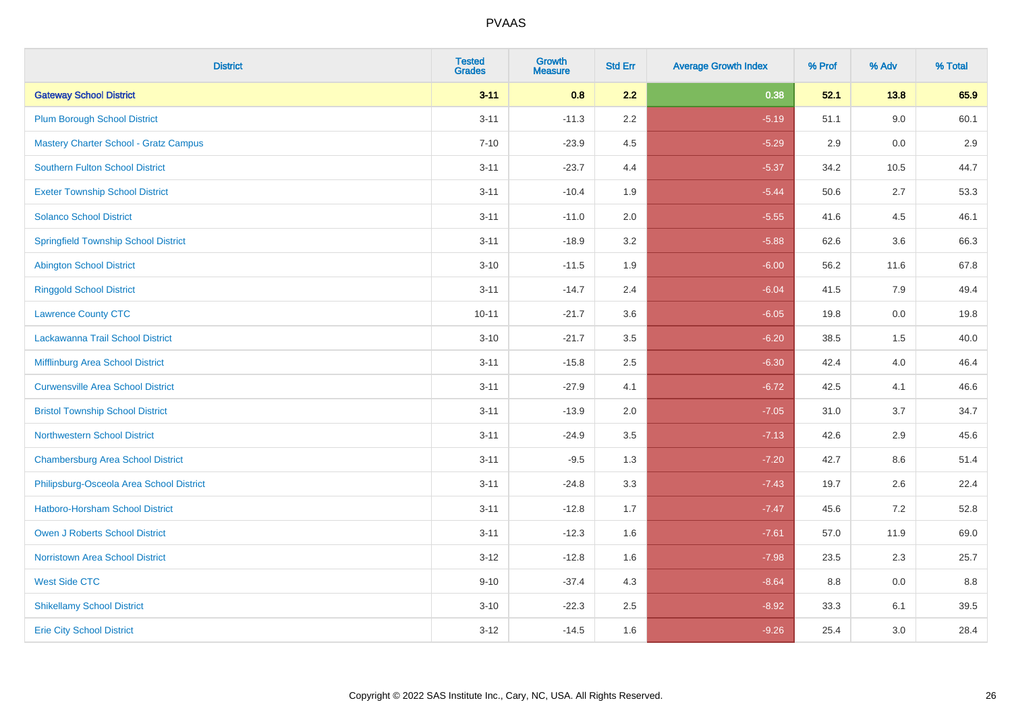| <b>District</b>                              | <b>Tested</b><br><b>Grades</b> | <b>Growth</b><br><b>Measure</b> | <b>Std Err</b> | <b>Average Growth Index</b> | % Prof | % Adv | % Total |
|----------------------------------------------|--------------------------------|---------------------------------|----------------|-----------------------------|--------|-------|---------|
| <b>Gateway School District</b>               | $3 - 11$                       | 0.8                             | 2.2            | 0.38                        | 52.1   | 13.8  | 65.9    |
| <b>Plum Borough School District</b>          | $3 - 11$                       | $-11.3$                         | 2.2            | $-5.19$                     | 51.1   | 9.0   | 60.1    |
| <b>Mastery Charter School - Gratz Campus</b> | $7 - 10$                       | $-23.9$                         | 4.5            | $-5.29$                     | 2.9    | 0.0   | 2.9     |
| <b>Southern Fulton School District</b>       | $3 - 11$                       | $-23.7$                         | 4.4            | $-5.37$                     | 34.2   | 10.5  | 44.7    |
| <b>Exeter Township School District</b>       | $3 - 11$                       | $-10.4$                         | 1.9            | $-5.44$                     | 50.6   | 2.7   | 53.3    |
| <b>Solanco School District</b>               | $3 - 11$                       | $-11.0$                         | 2.0            | $-5.55$                     | 41.6   | 4.5   | 46.1    |
| <b>Springfield Township School District</b>  | $3 - 11$                       | $-18.9$                         | 3.2            | $-5.88$                     | 62.6   | 3.6   | 66.3    |
| <b>Abington School District</b>              | $3 - 10$                       | $-11.5$                         | 1.9            | $-6.00$                     | 56.2   | 11.6  | 67.8    |
| <b>Ringgold School District</b>              | $3 - 11$                       | $-14.7$                         | 2.4            | $-6.04$                     | 41.5   | 7.9   | 49.4    |
| <b>Lawrence County CTC</b>                   | $10 - 11$                      | $-21.7$                         | 3.6            | $-6.05$                     | 19.8   | 0.0   | 19.8    |
| Lackawanna Trail School District             | $3 - 10$                       | $-21.7$                         | 3.5            | $-6.20$                     | 38.5   | 1.5   | 40.0    |
| Mifflinburg Area School District             | $3 - 11$                       | $-15.8$                         | 2.5            | $-6.30$                     | 42.4   | 4.0   | 46.4    |
| <b>Curwensville Area School District</b>     | $3 - 11$                       | $-27.9$                         | 4.1            | $-6.72$                     | 42.5   | 4.1   | 46.6    |
| <b>Bristol Township School District</b>      | $3 - 11$                       | $-13.9$                         | 2.0            | $-7.05$                     | 31.0   | 3.7   | 34.7    |
| <b>Northwestern School District</b>          | $3 - 11$                       | $-24.9$                         | 3.5            | $-7.13$                     | 42.6   | 2.9   | 45.6    |
| <b>Chambersburg Area School District</b>     | $3 - 11$                       | $-9.5$                          | 1.3            | $-7.20$                     | 42.7   | 8.6   | 51.4    |
| Philipsburg-Osceola Area School District     | $3 - 11$                       | $-24.8$                         | 3.3            | $-7.43$                     | 19.7   | 2.6   | 22.4    |
| Hatboro-Horsham School District              | $3 - 11$                       | $-12.8$                         | 1.7            | $-7.47$                     | 45.6   | 7.2   | 52.8    |
| <b>Owen J Roberts School District</b>        | $3 - 11$                       | $-12.3$                         | 1.6            | $-7.61$                     | 57.0   | 11.9  | 69.0    |
| Norristown Area School District              | $3 - 12$                       | $-12.8$                         | 1.6            | $-7.98$                     | 23.5   | 2.3   | 25.7    |
| <b>West Side CTC</b>                         | $9 - 10$                       | $-37.4$                         | 4.3            | $-8.64$                     | 8.8    | 0.0   | 8.8     |
| <b>Shikellamy School District</b>            | $3 - 10$                       | $-22.3$                         | 2.5            | $-8.92$                     | 33.3   | 6.1   | 39.5    |
| <b>Erie City School District</b>             | $3 - 12$                       | $-14.5$                         | 1.6            | $-9.26$                     | 25.4   | 3.0   | 28.4    |